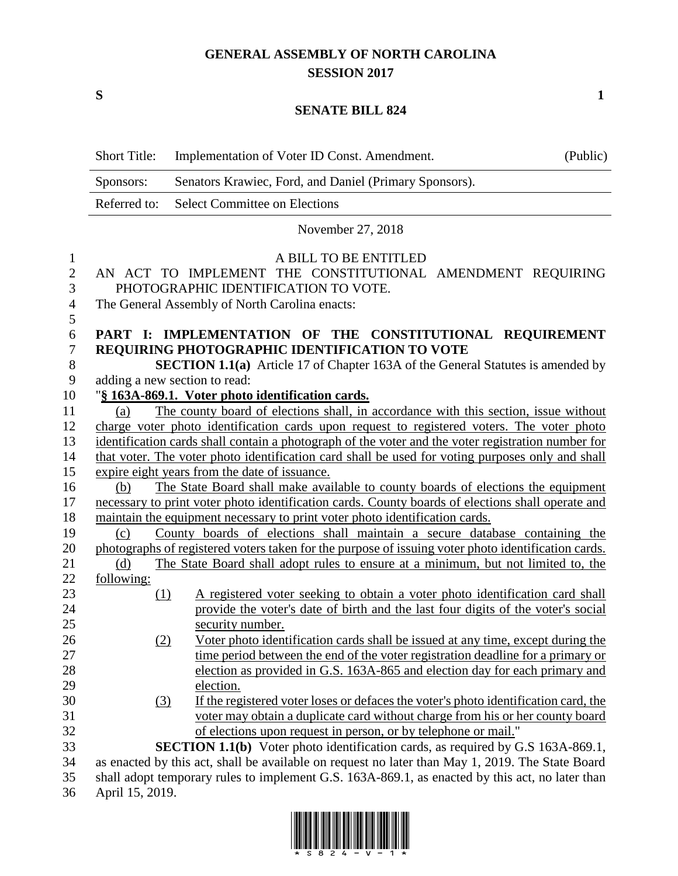# **GENERAL ASSEMBLY OF NORTH CAROLINA SESSION 2017**

**S 1**

## **SENATE BILL 824**

|                | <b>Short Title:</b> | Implementation of Voter ID Const. Amendment.                                                        | (Public) |
|----------------|---------------------|-----------------------------------------------------------------------------------------------------|----------|
|                | Sponsors:           | Senators Krawiec, Ford, and Daniel (Primary Sponsors).                                              |          |
|                | Referred to:        | <b>Select Committee on Elections</b>                                                                |          |
|                |                     | November 27, 2018                                                                                   |          |
| $\mathbf{1}$   |                     | A BILL TO BE ENTITLED                                                                               |          |
| $\mathbf{2}$   |                     | AN ACT TO IMPLEMENT THE CONSTITUTIONAL AMENDMENT REQUIRING                                          |          |
| 3              |                     | PHOTOGRAPHIC IDENTIFICATION TO VOTE.                                                                |          |
| $\overline{4}$ |                     | The General Assembly of North Carolina enacts:                                                      |          |
| 5              |                     |                                                                                                     |          |
| 6              |                     | PART I: IMPLEMENTATION OF THE CONSTITUTIONAL REQUIREMENT                                            |          |
| $\tau$         |                     | REQUIRING PHOTOGRAPHIC IDENTIFICATION TO VOTE                                                       |          |
| $8\,$          |                     | <b>SECTION 1.1(a)</b> Article 17 of Chapter 163A of the General Statutes is amended by              |          |
| 9              |                     | adding a new section to read:                                                                       |          |
| 10             |                     | "§ 163A-869.1. Voter photo identification cards.                                                    |          |
| 11             | (a)                 | The county board of elections shall, in accordance with this section, issue without                 |          |
| 12             |                     | charge voter photo identification cards upon request to registered voters. The voter photo          |          |
| 13             |                     | identification cards shall contain a photograph of the voter and the voter registration number for  |          |
| 14             |                     | that voter. The voter photo identification card shall be used for voting purposes only and shall    |          |
| 15             |                     | expire eight years from the date of issuance.                                                       |          |
| 16             | (b)                 | The State Board shall make available to county boards of elections the equipment                    |          |
| 17             |                     | necessary to print voter photo identification cards. County boards of elections shall operate and   |          |
| 18             |                     | maintain the equipment necessary to print voter photo identification cards.                         |          |
| 19             | (c)                 | County boards of elections shall maintain a secure database containing the                          |          |
| 20             |                     | photographs of registered voters taken for the purpose of issuing voter photo identification cards. |          |
| 21             | (d)                 | The State Board shall adopt rules to ensure at a minimum, but not limited to, the                   |          |
| 22             | <u>following:</u>   |                                                                                                     |          |
| 23             | (1)                 | A registered voter seeking to obtain a voter photo identification card shall                        |          |
| 24             |                     | provide the voter's date of birth and the last four digits of the voter's social                    |          |
| 25             |                     | security number.                                                                                    |          |
| 26             | (2)                 | Voter photo identification cards shall be issued at any time, except during the                     |          |
| 27             |                     | time period between the end of the voter registration deadline for a primary or                     |          |
| 28             |                     | election as provided in G.S. 163A-865 and election day for each primary and                         |          |
| 29             |                     | election.                                                                                           |          |
| 30             | (3)                 | If the registered voter loses or defaces the voter's photo identification card, the                 |          |
| 31             |                     | voter may obtain a duplicate card without charge from his or her county board                       |          |
| 32             |                     | of elections upon request in person, or by telephone or mail."                                      |          |
| 33             |                     | <b>SECTION 1.1(b)</b> Voter photo identification cards, as required by G.S 163A-869.1,              |          |
| 34             |                     | as enacted by this act, shall be available on request no later than May 1, 2019. The State Board    |          |
| 35             |                     | shall adopt temporary rules to implement G.S. 163A-869.1, as enacted by this act, no later than     |          |
| 36             | April 15, 2019.     |                                                                                                     |          |

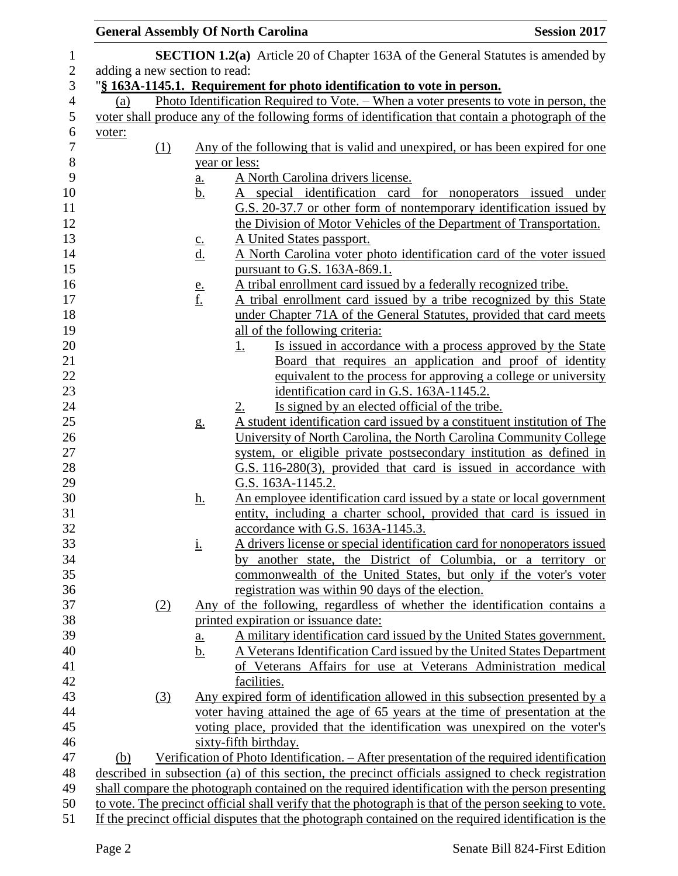| <b>General Assembly Of North Carolina</b>                                                              |                            |                                                                                                                                                              | <b>Session 2017</b>                                             |
|--------------------------------------------------------------------------------------------------------|----------------------------|--------------------------------------------------------------------------------------------------------------------------------------------------------------|-----------------------------------------------------------------|
|                                                                                                        |                            | <b>SECTION 1.2(a)</b> Article 20 of Chapter 163A of the General Statutes is amended by                                                                       |                                                                 |
| adding a new section to read:                                                                          |                            |                                                                                                                                                              |                                                                 |
|                                                                                                        |                            | "§ 163A-1145.1. Requirement for photo identification to vote in person.                                                                                      |                                                                 |
| (a)                                                                                                    |                            | Photo Identification Required to Vote. – When a voter presents to vote in person, the                                                                        |                                                                 |
|                                                                                                        |                            | voter shall produce any of the following forms of identification that contain a photograph of the                                                            |                                                                 |
| voter:                                                                                                 |                            |                                                                                                                                                              |                                                                 |
| (1)                                                                                                    |                            | Any of the following that is valid and unexpired, or has been expired for one                                                                                |                                                                 |
|                                                                                                        |                            | year or less:                                                                                                                                                |                                                                 |
|                                                                                                        | <u>a.</u>                  | A North Carolina drivers license.                                                                                                                            |                                                                 |
|                                                                                                        | <u>b.</u>                  | A special identification card for nonoperators issued under                                                                                                  |                                                                 |
|                                                                                                        |                            | G.S. 20-37.7 or other form of nontemporary identification issued by                                                                                          |                                                                 |
|                                                                                                        |                            | the Division of Motor Vehicles of the Department of Transportation.                                                                                          |                                                                 |
|                                                                                                        | $\underline{\mathsf{C}}$ . | A United States passport.                                                                                                                                    |                                                                 |
|                                                                                                        | <u>d.</u>                  | A North Carolina voter photo identification card of the voter issued<br>pursuant to G.S. 163A-869.1.                                                         |                                                                 |
|                                                                                                        |                            | A tribal enrollment card issued by a federally recognized tribe.                                                                                             |                                                                 |
|                                                                                                        | $\frac{e}{f}$              | A tribal enrollment card issued by a tribe recognized by this State                                                                                          |                                                                 |
|                                                                                                        |                            | under Chapter 71A of the General Statutes, provided that card meets                                                                                          |                                                                 |
|                                                                                                        |                            | all of the following criteria:                                                                                                                               |                                                                 |
|                                                                                                        |                            | <u>1.</u>                                                                                                                                                    | Is issued in accordance with a process approved by the State    |
|                                                                                                        |                            |                                                                                                                                                              | Board that requires an application and proof of identity        |
|                                                                                                        |                            |                                                                                                                                                              | equivalent to the process for approving a college or university |
|                                                                                                        |                            | identification card in G.S. 163A-1145.2.                                                                                                                     |                                                                 |
|                                                                                                        |                            | Is signed by an elected official of the tribe.<br><u>2.</u>                                                                                                  |                                                                 |
|                                                                                                        | g.                         | A student identification card issued by a constituent institution of The                                                                                     |                                                                 |
|                                                                                                        |                            | University of North Carolina, the North Carolina Community College                                                                                           |                                                                 |
|                                                                                                        |                            | system, or eligible private postsecondary institution as defined in                                                                                          |                                                                 |
|                                                                                                        |                            | G.S. 116-280(3), provided that card is issued in accordance with<br>G.S. 163A-1145.2.                                                                        |                                                                 |
|                                                                                                        | <u>h.</u>                  | An employee identification card issued by a state or local government                                                                                        |                                                                 |
|                                                                                                        |                            | entity, including a charter school, provided that card is issued in                                                                                          |                                                                 |
|                                                                                                        |                            | accordance with G.S. 163A-1145.3.                                                                                                                            |                                                                 |
|                                                                                                        | <u>i.</u>                  | A drivers license or special identification card for nonoperators issued                                                                                     |                                                                 |
|                                                                                                        |                            | by another state, the District of Columbia, or a territory or                                                                                                |                                                                 |
|                                                                                                        |                            | commonwealth of the United States, but only if the voter's voter                                                                                             |                                                                 |
|                                                                                                        |                            | registration was within 90 days of the election.                                                                                                             |                                                                 |
| (2)                                                                                                    |                            | Any of the following, regardless of whether the identification contains a                                                                                    |                                                                 |
|                                                                                                        |                            | printed expiration or issuance date:                                                                                                                         |                                                                 |
|                                                                                                        | a.                         | A military identification card issued by the United States government.                                                                                       |                                                                 |
|                                                                                                        | <u>b.</u>                  | A Veterans Identification Card issued by the United States Department                                                                                        |                                                                 |
|                                                                                                        |                            | of Veterans Affairs for use at Veterans Administration medical                                                                                               |                                                                 |
|                                                                                                        |                            | facilities.                                                                                                                                                  |                                                                 |
| (3)                                                                                                    |                            | Any expired form of identification allowed in this subsection presented by a<br>voter having attained the age of 65 years at the time of presentation at the |                                                                 |
|                                                                                                        |                            | voting place, provided that the identification was unexpired on the voter's                                                                                  |                                                                 |
|                                                                                                        |                            | sixty-fifth birthday.                                                                                                                                        |                                                                 |
| (b)                                                                                                    |                            | Verification of Photo Identification. – After presentation of the required identification                                                                    |                                                                 |
|                                                                                                        |                            | described in subsection (a) of this section, the precinct officials assigned to check registration                                                           |                                                                 |
|                                                                                                        |                            | shall compare the photograph contained on the required identification with the person presenting                                                             |                                                                 |
| to vote. The precinct official shall verify that the photograph is that of the person seeking to vote. |                            |                                                                                                                                                              |                                                                 |
|                                                                                                        |                            | If the precinct official disputes that the photograph contained on the required identification is the                                                        |                                                                 |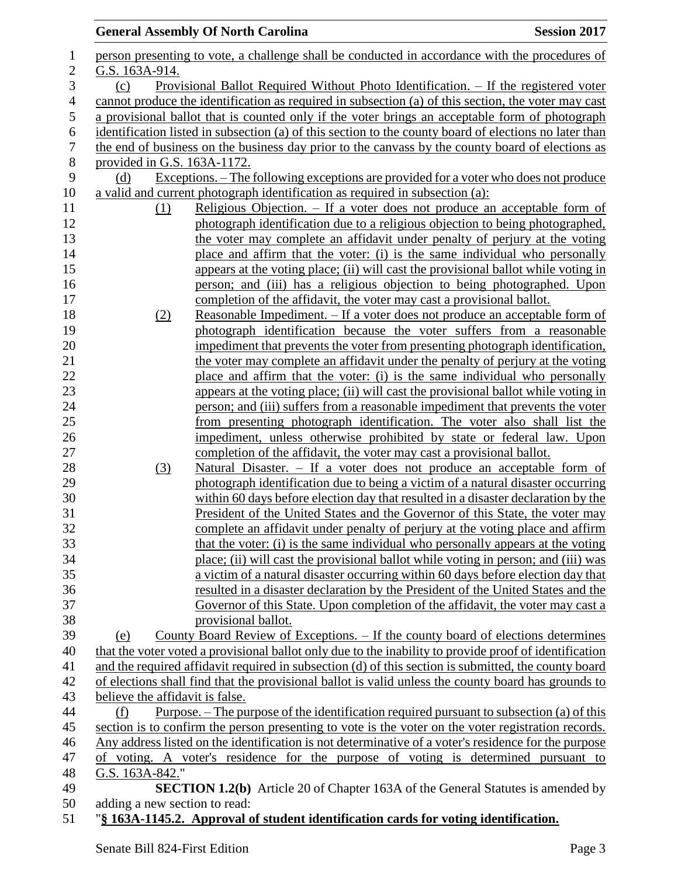|                  |                                 | <b>General Assembly Of North Carolina</b>                                                              | <b>Session 2017</b> |
|------------------|---------------------------------|--------------------------------------------------------------------------------------------------------|---------------------|
| 1                |                                 | person presenting to vote, a challenge shall be conducted in accordance with the procedures of         |                     |
| $\boldsymbol{2}$ | G.S. 163A-914.                  |                                                                                                        |                     |
| 3                | (c)                             | Provisional Ballot Required Without Photo Identification. - If the registered voter                    |                     |
| $\overline{4}$   |                                 | cannot produce the identification as required in subsection (a) of this section, the voter may cast    |                     |
| 5                |                                 | a provisional ballot that is counted only if the voter brings an acceptable form of photograph         |                     |
| 6                |                                 | identification listed in subsection (a) of this section to the county board of elections no later than |                     |
| 7                |                                 | the end of business on the business day prior to the canvass by the county board of elections as       |                     |
| $8\,$            | provided in G.S. 163A-1172.     |                                                                                                        |                     |
| 9                | (d)                             | <u>Exceptions. – The following exceptions are provided for a voter who does not produce</u>            |                     |
| 10               |                                 | a valid and current photograph identification as required in subsection (a):                           |                     |
| 11               | (1)                             | Religious Objection. – If a voter does not produce an acceptable form of                               |                     |
| 12               |                                 | photograph identification due to a religious objection to being photographed,                          |                     |
| 13               |                                 | the voter may complete an affidavit under penalty of perjury at the voting                             |                     |
| 14               |                                 | place and affirm that the voter: (i) is the same individual who personally                             |                     |
| 15               |                                 | appears at the voting place; (ii) will cast the provisional ballot while voting in                     |                     |
| 16               |                                 | person; and (iii) has a religious objection to being photographed. Upon                                |                     |
| 17               |                                 | completion of the affidavit, the voter may cast a provisional ballot.                                  |                     |
| 18               | (2)                             | Reasonable Impediment. – If a voter does not produce an acceptable form of                             |                     |
| 19               |                                 | photograph identification because the voter suffers from a reasonable                                  |                     |
| 20               |                                 | impediment that prevents the voter from presenting photograph identification,                          |                     |
| 21               |                                 | the voter may complete an affidavit under the penalty of perjury at the voting                         |                     |
| 22               |                                 | place and affirm that the voter: (i) is the same individual who personally                             |                     |
| 23               |                                 | appears at the voting place; (ii) will cast the provisional ballot while voting in                     |                     |
| 24               |                                 | person; and (iii) suffers from a reasonable impediment that prevents the voter                         |                     |
| 25               |                                 | from presenting photograph identification. The voter also shall list the                               |                     |
| 26               |                                 | impediment, unless otherwise prohibited by state or federal law. Upon                                  |                     |
| 27               |                                 | completion of the affidavit, the voter may cast a provisional ballot.                                  |                     |
| 28               | (3)                             | Natural Disaster. – If a voter does not produce an acceptable form of                                  |                     |
| 29               |                                 | photograph identification due to being a victim of a natural disaster occurring                        |                     |
| 30               |                                 | within 60 days before election day that resulted in a disaster declaration by the                      |                     |
| 31               |                                 | President of the United States and the Governor of this State, the voter may                           |                     |
| 32               |                                 | complete an affidavit under penalty of perjury at the voting place and affirm                          |                     |
| 33               |                                 | that the voter: (i) is the same individual who personally appears at the voting                        |                     |
| 34               |                                 | place; (ii) will cast the provisional ballot while voting in person; and (iii) was                     |                     |
| 35               |                                 | a victim of a natural disaster occurring within 60 days before election day that                       |                     |
| 36               |                                 | resulted in a disaster declaration by the President of the United States and the                       |                     |
| 37               |                                 | Governor of this State. Upon completion of the affidavit, the voter may cast a                         |                     |
| 38               |                                 | provisional ballot.                                                                                    |                     |
| 39               | (e)                             | <u>County Board Review of Exceptions. – If the county board of elections determines</u>                |                     |
| 40               |                                 | that the voter voted a provisional ballot only due to the inability to provide proof of identification |                     |
| 41               |                                 | and the required affidavit required in subsection (d) of this section is submitted, the county board   |                     |
| 42               |                                 | of elections shall find that the provisional ballot is valid unless the county board has grounds to    |                     |
| 43               | believe the affidavit is false. |                                                                                                        |                     |
| 44               | (f)                             | Purpose. $-$ The purpose of the identification required pursuant to subsection (a) of this             |                     |
| 45               |                                 | section is to confirm the person presenting to vote is the voter on the voter registration records.    |                     |
| 46               |                                 | Any address listed on the identification is not determinative of a voter's residence for the purpose   |                     |
| 47               |                                 | of voting. A voter's residence for the purpose of voting is determined pursuant to                     |                     |
| 48               | G.S. 163A-842."                 |                                                                                                        |                     |
| 49               |                                 | <b>SECTION 1.2(b)</b> Article 20 of Chapter 163A of the General Statutes is amended by                 |                     |
| 50               | adding a new section to read:   |                                                                                                        |                     |
| $-1$             |                                 |                                                                                                        |                     |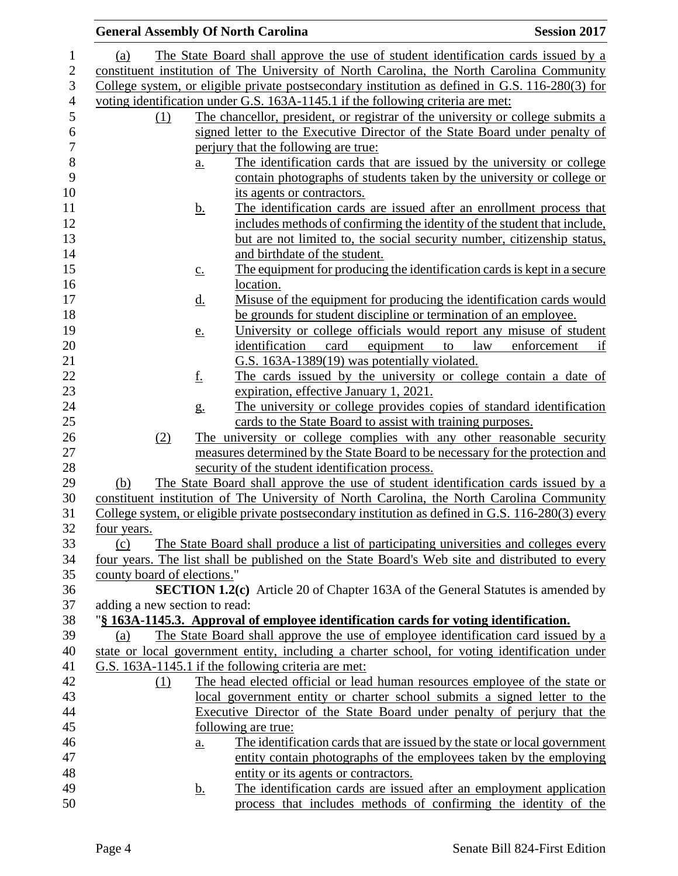|                               | <b>General Assembly Of North Carolina</b>                                                                                        | <b>Session 2017</b>      |
|-------------------------------|----------------------------------------------------------------------------------------------------------------------------------|--------------------------|
| (a)                           | The State Board shall approve the use of student identification cards issued by a                                                |                          |
|                               | constituent institution of The University of North Carolina, the North Carolina Community                                        |                          |
|                               | College system, or eligible private postsecondary institution as defined in G.S. 116-280(3) for                                  |                          |
|                               | voting identification under G.S. 163A-1145.1 if the following criteria are met:                                                  |                          |
| (1)                           | The chancellor, president, or registrar of the university or college submits a                                                   |                          |
|                               | signed letter to the Executive Director of the State Board under penalty of                                                      |                          |
|                               | perjury that the following are true:                                                                                             |                          |
|                               | The identification cards that are issued by the university or college<br>a.                                                      |                          |
|                               | contain photographs of students taken by the university or college or                                                            |                          |
|                               | its agents or contractors.                                                                                                       |                          |
|                               | The identification cards are issued after an enrollment process that<br><u>b.</u>                                                |                          |
|                               | includes methods of confirming the identity of the student that include,                                                         |                          |
|                               | but are not limited to, the social security number, citizenship status,                                                          |                          |
|                               | and birthdate of the student.                                                                                                    |                          |
|                               | The equipment for producing the identification cards is kept in a secure<br>$\underline{c}$ .                                    |                          |
|                               | location.                                                                                                                        |                          |
|                               | Misuse of the equipment for producing the identification cards would<br><u>d.</u>                                                |                          |
|                               | be grounds for student discipline or termination of an employee.                                                                 |                          |
|                               | University or college officials would report any misuse of student<br><u>e.</u>                                                  |                          |
|                               | identification<br>card<br>equipment<br>to                                                                                        | law<br>enforcement<br>if |
|                               | G.S. 163A-1389(19) was potentially violated.                                                                                     |                          |
|                               | <u>f.</u><br>The cards issued by the university or college contain a date of                                                     |                          |
|                               | expiration, effective January 1, 2021.                                                                                           |                          |
|                               | The university or college provides copies of standard identification<br>$g_{\cdot}$                                              |                          |
|                               | cards to the State Board to assist with training purposes.                                                                       |                          |
| (2)                           | The university or college complies with any other reasonable security                                                            |                          |
|                               | measures determined by the State Board to be necessary for the protection and<br>security of the student identification process. |                          |
| (b)                           | The State Board shall approve the use of student identification cards issued by a                                                |                          |
|                               | constituent institution of The University of North Carolina, the North Carolina Community                                        |                          |
|                               | College system, or eligible private postsecondary institution as defined in G.S. 116-280(3) every                                |                          |
| four years.                   |                                                                                                                                  |                          |
| (c)                           | The State Board shall produce a list of participating universities and colleges every                                            |                          |
|                               | four years. The list shall be published on the State Board's Web site and distributed to every                                   |                          |
| county board of elections."   |                                                                                                                                  |                          |
|                               | <b>SECTION 1.2(c)</b> Article 20 of Chapter 163A of the General Statutes is amended by                                           |                          |
| adding a new section to read: |                                                                                                                                  |                          |
|                               | "§ 163A-1145.3. Approval of employee identification cards for voting identification.                                             |                          |
| (a)                           | The State Board shall approve the use of employee identification card issued by a                                                |                          |
|                               | state or local government entity, including a charter school, for voting identification under                                    |                          |
|                               | G.S. 163A-1145.1 if the following criteria are met:                                                                              |                          |
| (1)                           | The head elected official or lead human resources employee of the state or                                                       |                          |
|                               | local government entity or charter school submits a signed letter to the                                                         |                          |
|                               | Executive Director of the State Board under penalty of perjury that the                                                          |                          |
|                               | following are true:                                                                                                              |                          |
|                               | The identification cards that are issued by the state or local government<br>$\underline{a}$ .                                   |                          |
|                               | entity contain photographs of the employees taken by the employing                                                               |                          |
|                               | entity or its agents or contractors.                                                                                             |                          |
|                               | The identification cards are issued after an employment application<br><u>b.</u>                                                 |                          |
|                               | process that includes methods of confirming the identity of the                                                                  |                          |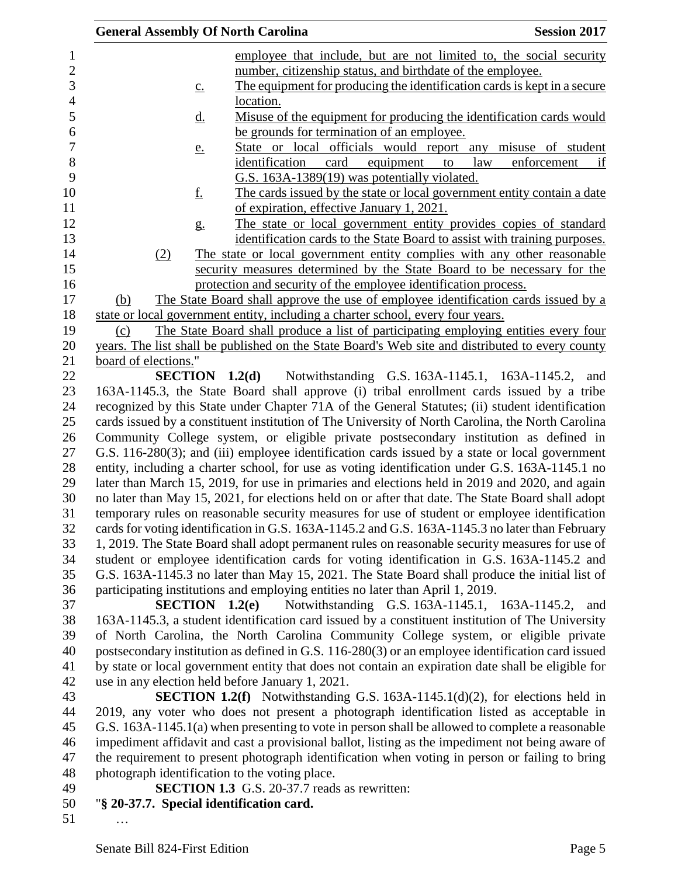| <b>General Assembly Of North Carolina</b>        |                                                                                                    |           |             | <b>Session 2017</b> |
|--------------------------------------------------|----------------------------------------------------------------------------------------------------|-----------|-------------|---------------------|
|                                                  | employee that include, but are not limited to, the social security                                 |           |             |                     |
|                                                  | number, citizenship status, and birthdate of the employee.                                         |           |             |                     |
| $\underline{c}$ .                                | The equipment for producing the identification cards is kept in a secure                           |           |             |                     |
|                                                  | location.                                                                                          |           |             |                     |
| <u>d.</u>                                        | Misuse of the equipment for producing the identification cards would                               |           |             |                     |
|                                                  | be grounds for termination of an employee.                                                         |           |             |                     |
| <u>e.</u>                                        | State or local officials would report any misuse of student                                        |           |             |                     |
|                                                  | identification<br>card<br>equipment                                                                | law<br>to | enforcement | if                  |
|                                                  | G.S. 163A-1389(19) was potentially violated.                                                       |           |             |                     |
| <u>f.</u>                                        | The cards issued by the state or local government entity contain a date                            |           |             |                     |
|                                                  | of expiration, effective January 1, 2021.                                                          |           |             |                     |
| g <sub>1</sub>                                   | The state or local government entity provides copies of standard                                   |           |             |                     |
|                                                  | identification cards to the State Board to assist with training purposes.                          |           |             |                     |
| (2)                                              | The state or local government entity complies with any other reasonable                            |           |             |                     |
|                                                  | security measures determined by the State Board to be necessary for the                            |           |             |                     |
|                                                  | protection and security of the employee identification process.                                    |           |             |                     |
| (b)                                              | The State Board shall approve the use of employee identification cards issued by a                 |           |             |                     |
|                                                  | state or local government entity, including a charter school, every four years.                    |           |             |                     |
| (c)                                              | The State Board shall produce a list of participating employing entities every four                |           |             |                     |
|                                                  | years. The list shall be published on the State Board's Web site and distributed to every county   |           |             |                     |
| board of elections."                             |                                                                                                    |           |             |                     |
|                                                  | <b>SECTION</b> 1.2(d) Notwithstanding G.S. 163A-1145.1, 163A-1145.2, and                           |           |             |                     |
|                                                  | 163A-1145.3, the State Board shall approve (i) tribal enrollment cards issued by a tribe           |           |             |                     |
|                                                  | recognized by this State under Chapter 71A of the General Statutes; (ii) student identification    |           |             |                     |
|                                                  | cards issued by a constituent institution of The University of North Carolina, the North Carolina  |           |             |                     |
|                                                  | Community College system, or eligible private postsecondary institution as defined in              |           |             |                     |
|                                                  | G.S. 116-280(3); and (iii) employee identification cards issued by a state or local government     |           |             |                     |
|                                                  | entity, including a charter school, for use as voting identification under G.S. 163A-1145.1 no     |           |             |                     |
|                                                  | later than March 15, 2019, for use in primaries and elections held in 2019 and 2020, and again     |           |             |                     |
|                                                  | no later than May 15, 2021, for elections held on or after that date. The State Board shall adopt  |           |             |                     |
|                                                  | temporary rules on reasonable security measures for use of student or employee identification      |           |             |                     |
|                                                  | cards for voting identification in G.S. 163A-1145.2 and G.S. 163A-1145.3 no later than February    |           |             |                     |
|                                                  | 1, 2019. The State Board shall adopt permanent rules on reasonable security measures for use of    |           |             |                     |
|                                                  | student or employee identification cards for voting identification in G.S. 163A-1145.2 and         |           |             |                     |
|                                                  | G.S. 163A-1145.3 no later than May 15, 2021. The State Board shall produce the initial list of     |           |             |                     |
|                                                  | participating institutions and employing entities no later than April 1, 2019.                     |           |             |                     |
| SECTION 1.2(e)                                   | Notwithstanding G.S. 163A-1145.1, 163A-1145.2,                                                     |           |             | and                 |
|                                                  | 163A-1145.3, a student identification card issued by a constituent institution of The University   |           |             |                     |
|                                                  | of North Carolina, the North Carolina Community College system, or eligible private                |           |             |                     |
|                                                  | postsecondary institution as defined in G.S. 116-280(3) or an employee identification card issued  |           |             |                     |
|                                                  | by state or local government entity that does not contain an expiration date shall be eligible for |           |             |                     |
| use in any election held before January 1, 2021. |                                                                                                    |           |             |                     |
|                                                  | <b>SECTION 1.2(f)</b> Notwithstanding G.S. 163A-1145.1(d)(2), for elections held in                |           |             |                     |
|                                                  | 2019, any voter who does not present a photograph identification listed as acceptable in           |           |             |                     |
|                                                  | G.S. 163A-1145.1(a) when presenting to vote in person shall be allowed to complete a reasonable    |           |             |                     |
|                                                  | impediment affidavit and cast a provisional ballot, listing as the impediment not being aware of   |           |             |                     |
|                                                  | the requirement to present photograph identification when voting in person or failing to bring     |           |             |                     |
| photograph identification to the voting place.   |                                                                                                    |           |             |                     |
|                                                  | SECTION 1.3 G.S. 20-37.7 reads as rewritten:                                                       |           |             |                     |
| "§ 20-37.7. Special identification card.         |                                                                                                    |           |             |                     |
|                                                  |                                                                                                    |           |             |                     |
|                                                  |                                                                                                    |           |             |                     |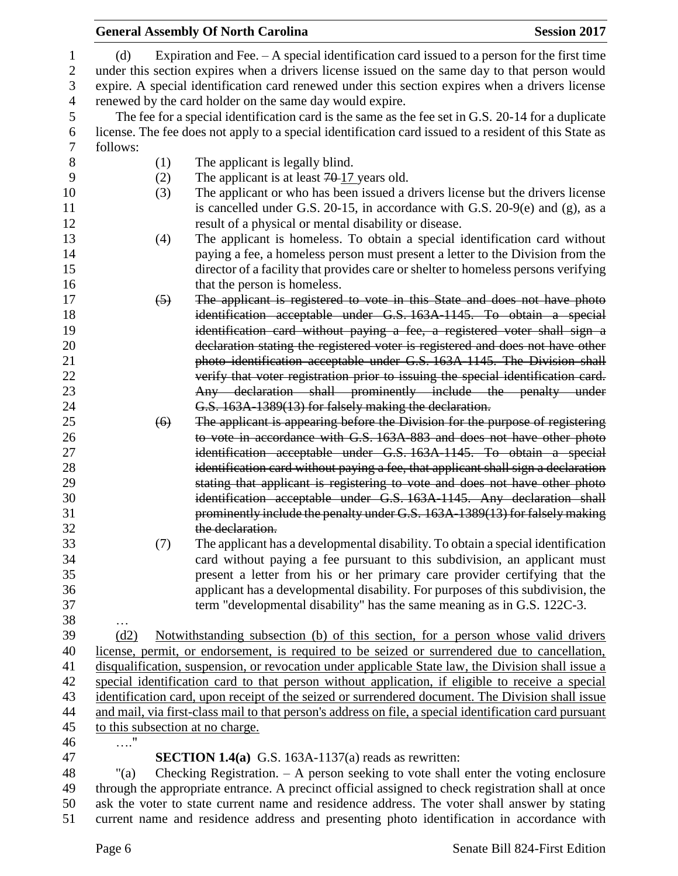|                                                                                                                                                           | <b>General Assembly Of North Carolina</b>                                                                                                                  | <b>Session 2017</b> |
|-----------------------------------------------------------------------------------------------------------------------------------------------------------|------------------------------------------------------------------------------------------------------------------------------------------------------------|---------------------|
| (d)                                                                                                                                                       | Expiration and Fee. $- A$ special identification card issued to a person for the first time                                                                |                     |
|                                                                                                                                                           | under this section expires when a drivers license issued on the same day to that person would                                                              |                     |
|                                                                                                                                                           | expire. A special identification card renewed under this section expires when a drivers license                                                            |                     |
|                                                                                                                                                           | renewed by the card holder on the same day would expire.                                                                                                   |                     |
|                                                                                                                                                           | The fee for a special identification card is the same as the fee set in G.S. 20-14 for a duplicate                                                         |                     |
|                                                                                                                                                           | license. The fee does not apply to a special identification card issued to a resident of this State as                                                     |                     |
| follows:                                                                                                                                                  |                                                                                                                                                            |                     |
|                                                                                                                                                           |                                                                                                                                                            |                     |
| (1)                                                                                                                                                       | The applicant is legally blind.                                                                                                                            |                     |
| (2)                                                                                                                                                       | The applicant is at least $70-17$ years old.                                                                                                               |                     |
| (3)                                                                                                                                                       | The applicant or who has been issued a drivers license but the drivers license                                                                             |                     |
|                                                                                                                                                           | is cancelled under G.S. $20-15$ , in accordance with G.S. $20-9(e)$ and (g), as a                                                                          |                     |
|                                                                                                                                                           | result of a physical or mental disability or disease.                                                                                                      |                     |
| (4)                                                                                                                                                       | The applicant is homeless. To obtain a special identification card without                                                                                 |                     |
|                                                                                                                                                           | paying a fee, a homeless person must present a letter to the Division from the                                                                             |                     |
|                                                                                                                                                           | director of a facility that provides care or shelter to homeless persons verifying                                                                         |                     |
|                                                                                                                                                           | that the person is homeless.                                                                                                                               |                     |
| $\left(5\right)$                                                                                                                                          | The applicant is registered to vote in this State and does not have photo<br>identification acceptable under G.S. 163A-1145. To obtain a special           |                     |
|                                                                                                                                                           |                                                                                                                                                            |                     |
|                                                                                                                                                           | identification card without paying a fee, a registered voter shall sign a                                                                                  |                     |
|                                                                                                                                                           | declaration stating the registered voter is registered and does not have other<br>photo identification acceptable under G.S. 163A-1145. The Division shall |                     |
|                                                                                                                                                           | verify that voter registration prior to issuing the special identification card.                                                                           |                     |
|                                                                                                                                                           | Any declaration shall prominently include the penalty under                                                                                                |                     |
|                                                                                                                                                           | G.S. 163A-1389(13) for falsely making the declaration.                                                                                                     |                     |
| (6)                                                                                                                                                       | The applicant is appearing before the Division for the purpose of registering                                                                              |                     |
|                                                                                                                                                           | to vote in accordance with G.S. 163A 883 and does not have other photo                                                                                     |                     |
|                                                                                                                                                           | identification acceptable under G.S. 163A-1145. To obtain a special                                                                                        |                     |
|                                                                                                                                                           | identification card without paying a fee, that applicant shall sign a declaration                                                                          |                     |
|                                                                                                                                                           | stating that applicant is registering to vote and does not have other photo                                                                                |                     |
|                                                                                                                                                           | identification acceptable under G.S. 163A-1145. Any declaration shall                                                                                      |                     |
|                                                                                                                                                           | prominently include the penalty under G.S. 163A-1389(13) for falsely making                                                                                |                     |
|                                                                                                                                                           | the declaration.                                                                                                                                           |                     |
| (7)                                                                                                                                                       | The applicant has a developmental disability. To obtain a special identification                                                                           |                     |
|                                                                                                                                                           | card without paying a fee pursuant to this subdivision, an applicant must                                                                                  |                     |
|                                                                                                                                                           | present a letter from his or her primary care provider certifying that the                                                                                 |                     |
|                                                                                                                                                           | applicant has a developmental disability. For purposes of this subdivision, the                                                                            |                     |
|                                                                                                                                                           | term "developmental disability" has the same meaning as in G.S. 122C-3.                                                                                    |                     |
|                                                                                                                                                           |                                                                                                                                                            |                     |
| (d2)                                                                                                                                                      | Notwithstanding subsection (b) of this section, for a person whose valid drivers                                                                           |                     |
|                                                                                                                                                           | license, permit, or endorsement, is required to be seized or surrendered due to cancellation,                                                              |                     |
|                                                                                                                                                           | disqualification, suspension, or revocation under applicable State law, the Division shall issue a                                                         |                     |
|                                                                                                                                                           | special identification card to that person without application, if eligible to receive a special                                                           |                     |
| identification card, upon receipt of the seized or surrendered document. The Division shall issue                                                         |                                                                                                                                                            |                     |
| and mail, via first-class mail to that person's address on file, a special identification card pursuant                                                   |                                                                                                                                                            |                     |
| to this subsection at no charge.                                                                                                                          |                                                                                                                                                            |                     |
| $\ldots \overset{\text{\normalsize{\hspace{1pt}\text{\normalsize{\hspace{1pt}\text{\scriptsize{\hspace{1pt}\text{\scriptsize{\hspace{1pt}}}}}}}}}{\cdot}$ |                                                                                                                                                            |                     |
|                                                                                                                                                           | <b>SECTION 1.4(a)</b> G.S. 163A-1137(a) reads as rewritten:                                                                                                |                     |
| " $(a)$                                                                                                                                                   | Checking Registration. $-$ A person seeking to vote shall enter the voting enclosure                                                                       |                     |
| through the appropriate entrance. A precinct official assigned to check registration shall at once                                                        |                                                                                                                                                            |                     |
|                                                                                                                                                           | ask the voter to state current name and residence address. The voter shall answer by stating                                                               |                     |
| current name and residence address and presenting photo identification in accordance with                                                                 |                                                                                                                                                            |                     |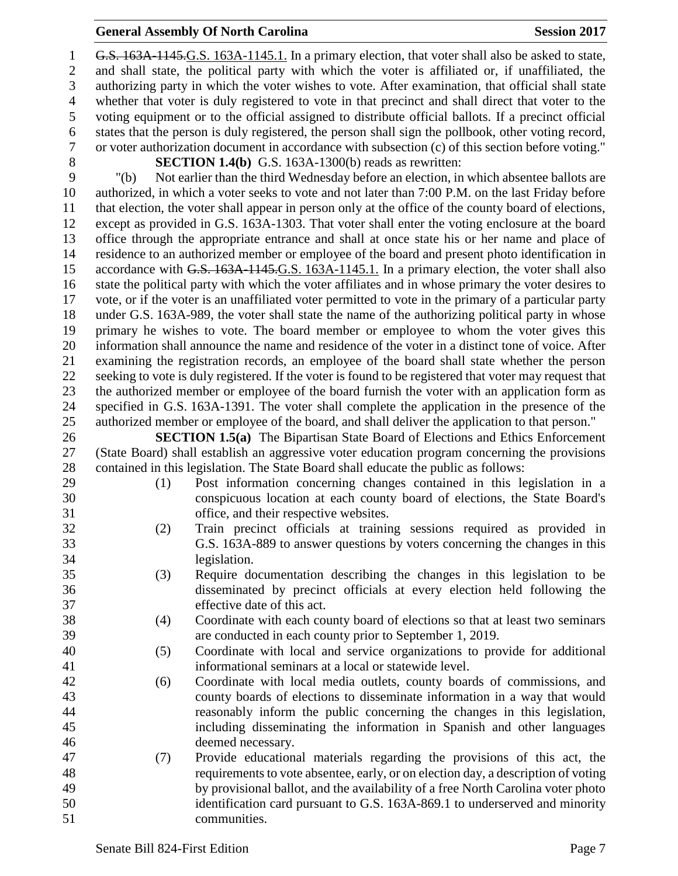### **General Assembly Of North Carolina Session 2017**

 G.S. 163A-1145.G.S. 163A-1145.1. In a primary election, that voter shall also be asked to state, and shall state, the political party with which the voter is affiliated or, if unaffiliated, the authorizing party in which the voter wishes to vote. After examination, that official shall state whether that voter is duly registered to vote in that precinct and shall direct that voter to the voting equipment or to the official assigned to distribute official ballots. If a precinct official states that the person is duly registered, the person shall sign the pollbook, other voting record, or voter authorization document in accordance with subsection (c) of this section before voting." **SECTION 1.4(b)** G.S. 163A-1300(b) reads as rewritten: "(b) Not earlier than the third Wednesday before an election, in which absentee ballots are authorized, in which a voter seeks to vote and not later than 7:00 P.M. on the last Friday before that election, the voter shall appear in person only at the office of the county board of elections, except as provided in G.S. 163A-1303. That voter shall enter the voting enclosure at the board office through the appropriate entrance and shall at once state his or her name and place of residence to an authorized member or employee of the board and present photo identification in 15 accordance with G.S. 163A-1145.G.S. 163A-1145.1. In a primary election, the voter shall also state the political party with which the voter affiliates and in whose primary the voter desires to vote, or if the voter is an unaffiliated voter permitted to vote in the primary of a particular party under G.S. 163A-989, the voter shall state the name of the authorizing political party in whose primary he wishes to vote. The board member or employee to whom the voter gives this information shall announce the name and residence of the voter in a distinct tone of voice. After examining the registration records, an employee of the board shall state whether the person seeking to vote is duly registered. If the voter is found to be registered that voter may request that the authorized member or employee of the board furnish the voter with an application form as specified in G.S. 163A-1391. The voter shall complete the application in the presence of the authorized member or employee of the board, and shall deliver the application to that person." **SECTION 1.5(a)** The Bipartisan State Board of Elections and Ethics Enforcement

 (State Board) shall establish an aggressive voter education program concerning the provisions contained in this legislation. The State Board shall educate the public as follows:

- (1) Post information concerning changes contained in this legislation in a conspicuous location at each county board of elections, the State Board's office, and their respective websites.
- (2) Train precinct officials at training sessions required as provided in G.S. 163A-889 to answer questions by voters concerning the changes in this legislation.
- (3) Require documentation describing the changes in this legislation to be disseminated by precinct officials at every election held following the effective date of this act.
- (4) Coordinate with each county board of elections so that at least two seminars are conducted in each county prior to September 1, 2019.
- (5) Coordinate with local and service organizations to provide for additional informational seminars at a local or statewide level.
- (6) Coordinate with local media outlets, county boards of commissions, and county boards of elections to disseminate information in a way that would reasonably inform the public concerning the changes in this legislation, including disseminating the information in Spanish and other languages deemed necessary.
- (7) Provide educational materials regarding the provisions of this act, the requirements to vote absentee, early, or on election day, a description of voting by provisional ballot, and the availability of a free North Carolina voter photo identification card pursuant to G.S. 163A-869.1 to underserved and minority communities.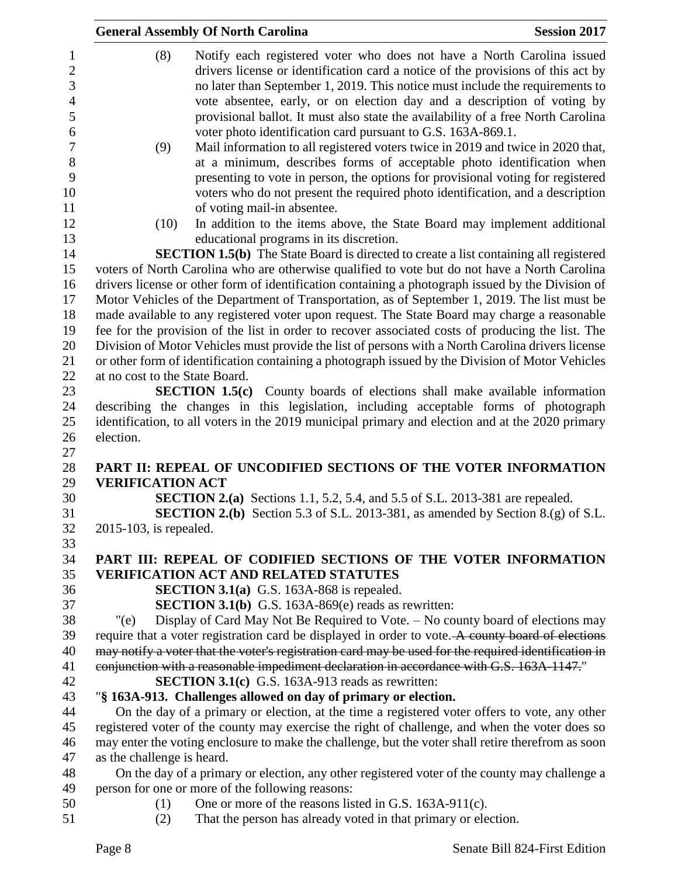|                                                                           | <b>General Assembly Of North Carolina</b>                                                                                                                                                                                                                                                                                                                                                               | <b>Session 2017</b> |
|---------------------------------------------------------------------------|---------------------------------------------------------------------------------------------------------------------------------------------------------------------------------------------------------------------------------------------------------------------------------------------------------------------------------------------------------------------------------------------------------|---------------------|
| (8)<br>$\mathbf{1}$<br>$\overline{2}$<br>3                                | Notify each registered voter who does not have a North Carolina issued<br>drivers license or identification card a notice of the provisions of this act by<br>no later than September 1, 2019. This notice must include the requirements to                                                                                                                                                             |                     |
| $\overline{4}$<br>$\mathfrak s$<br>6                                      | vote absentee, early, or on election day and a description of voting by<br>provisional ballot. It must also state the availability of a free North Carolina<br>voter photo identification card pursuant to G.S. 163A-869.1.                                                                                                                                                                             |                     |
| $\tau$<br>(9)<br>$8\,$<br>9                                               | Mail information to all registered voters twice in 2019 and twice in 2020 that,<br>at a minimum, describes forms of acceptable photo identification when<br>presenting to vote in person, the options for provisional voting for registered                                                                                                                                                             |                     |
| 10<br>11                                                                  | voters who do not present the required photo identification, and a description<br>of voting mail-in absentee.                                                                                                                                                                                                                                                                                           |                     |
| 12<br>(10)<br>13                                                          | In addition to the items above, the State Board may implement additional<br>educational programs in its discretion.                                                                                                                                                                                                                                                                                     |                     |
| 14<br>15<br>16                                                            | <b>SECTION 1.5(b)</b> The State Board is directed to create a list containing all registered<br>voters of North Carolina who are otherwise qualified to vote but do not have a North Carolina<br>drivers license or other form of identification containing a photograph issued by the Division of                                                                                                      |                     |
| 17<br>18<br>19<br>20                                                      | Motor Vehicles of the Department of Transportation, as of September 1, 2019. The list must be<br>made available to any registered voter upon request. The State Board may charge a reasonable<br>fee for the provision of the list in order to recover associated costs of producing the list. The<br>Division of Motor Vehicles must provide the list of persons with a North Carolina drivers license |                     |
| 21<br>22<br>at no cost to the State Board.                                | or other form of identification containing a photograph issued by the Division of Motor Vehicles                                                                                                                                                                                                                                                                                                        |                     |
| 23                                                                        | <b>SECTION 1.5(c)</b> County boards of elections shall make available information                                                                                                                                                                                                                                                                                                                       |                     |
| 24<br>25<br>26<br>election.                                               | describing the changes in this legislation, including acceptable forms of photograph<br>identification, to all voters in the 2019 municipal primary and election and at the 2020 primary                                                                                                                                                                                                                |                     |
| 27<br>28                                                                  | PART II: REPEAL OF UNCODIFIED SECTIONS OF THE VOTER INFORMATION                                                                                                                                                                                                                                                                                                                                         |                     |
| 29<br><b>VERIFICATION ACT</b><br>30<br>31<br>32<br>2015-103, is repealed. | <b>SECTION 2.(a)</b> Sections 1.1, 5.2, 5.4, and 5.5 of S.L. 2013-381 are repealed.<br><b>SECTION 2.(b)</b> Section 5.3 of S.L. 2013-381, as amended by Section 8.(g) of S.L.                                                                                                                                                                                                                           |                     |
| 33                                                                        |                                                                                                                                                                                                                                                                                                                                                                                                         |                     |
| 34<br>35                                                                  | PART III: REPEAL OF CODIFIED SECTIONS OF THE VOTER INFORMATION<br><b>VERIFICATION ACT AND RELATED STATUTES</b>                                                                                                                                                                                                                                                                                          |                     |
| 36<br>37                                                                  | <b>SECTION 3.1(a)</b> G.S. 163A-868 is repealed.<br><b>SECTION 3.1(b)</b> G.S. 163A-869(e) reads as rewritten:                                                                                                                                                                                                                                                                                          |                     |
| 38<br>"(e)<br>39                                                          | Display of Card May Not Be Required to Vote. – No county board of elections may<br>require that a voter registration card be displayed in order to vote. A county board of elections                                                                                                                                                                                                                    |                     |
| 40<br>41                                                                  | may notify a voter that the voter's registration card may be used for the required identification in<br>conjunction with a reasonable impediment declaration in accordance with G.S. 163A-1147."                                                                                                                                                                                                        |                     |
| 42<br>43                                                                  | <b>SECTION 3.1(c)</b> G.S. 163A-913 reads as rewritten:<br>"§ 163A-913. Challenges allowed on day of primary or election.                                                                                                                                                                                                                                                                               |                     |
| 44<br>45                                                                  | On the day of a primary or election, at the time a registered voter offers to vote, any other<br>registered voter of the county may exercise the right of challenge, and when the voter does so                                                                                                                                                                                                         |                     |
| 46<br>as the challenge is heard.<br>47                                    | may enter the voting enclosure to make the challenge, but the voter shall retire therefrom as soon                                                                                                                                                                                                                                                                                                      |                     |
| 48<br>49                                                                  | On the day of a primary or election, any other registered voter of the county may challenge a<br>person for one or more of the following reasons:                                                                                                                                                                                                                                                       |                     |
| 50<br>(1)<br>51<br>(2)                                                    | One or more of the reasons listed in G.S. 163A-911(c).<br>That the person has already voted in that primary or election.                                                                                                                                                                                                                                                                                |                     |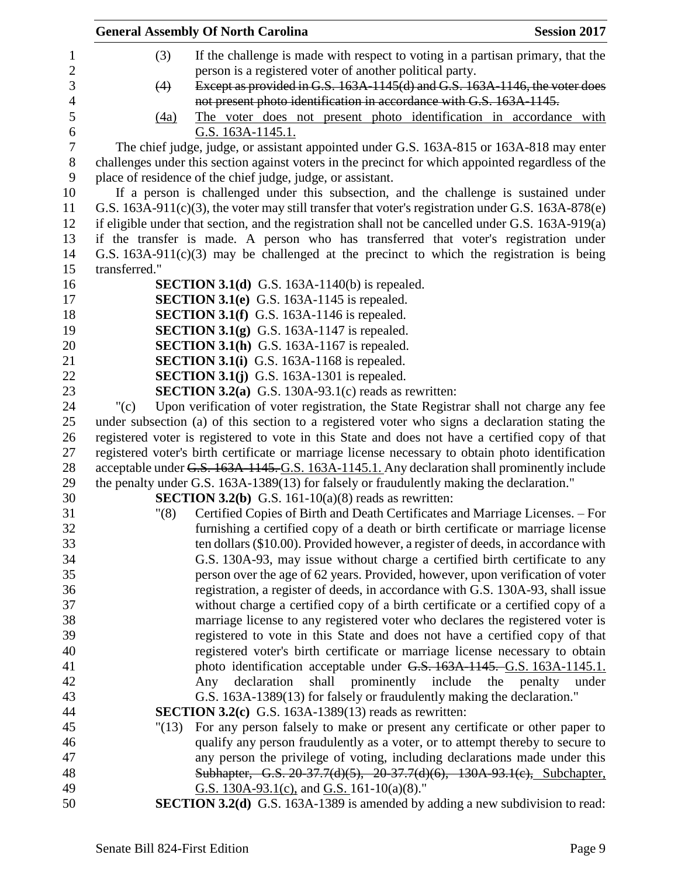| <b>General Assembly Of North Carolina</b>                                                          | <b>Session 2017</b>  |
|----------------------------------------------------------------------------------------------------|----------------------|
| (3)<br>If the challenge is made with respect to voting in a partisan primary, that the             |                      |
| person is a registered voter of another political party.                                           |                      |
| Except as provided in G.S. 163A-1145(d) and G.S. 163A-1146, the voter does<br>(4)                  |                      |
| not present photo identification in accordance with G.S. 163A-1145.                                |                      |
| The voter does not present photo identification in accordance with<br>(4a)                         |                      |
| <u>G.S. 163A-1145.1.</u>                                                                           |                      |
| The chief judge, judge, or assistant appointed under G.S. 163A-815 or 163A-818 may enter           |                      |
| challenges under this section against voters in the precinct for which appointed regardless of the |                      |
| place of residence of the chief judge, judge, or assistant.                                        |                      |
| If a person is challenged under this subsection, and the challenge is sustained under              |                      |
|                                                                                                    |                      |
| G.S. 163A-911(c)(3), the voter may still transfer that voter's registration under G.S. 163A-878(e) |                      |
| if eligible under that section, and the registration shall not be cancelled under G.S. 163A-919(a) |                      |
| if the transfer is made. A person who has transferred that voter's registration under              |                      |
| G.S. $163A-911(c)(3)$ may be challenged at the precinct to which the registration is being         |                      |
| transferred."                                                                                      |                      |
| <b>SECTION 3.1(d)</b> G.S. 163A-1140(b) is repealed.                                               |                      |
| <b>SECTION 3.1(e)</b> G.S. 163A-1145 is repealed.                                                  |                      |
| <b>SECTION 3.1(f)</b> G.S. 163A-1146 is repealed.                                                  |                      |
| <b>SECTION 3.1(g)</b> G.S. 163A-1147 is repealed.                                                  |                      |
| <b>SECTION 3.1(h)</b> G.S. 163A-1167 is repealed.                                                  |                      |
| <b>SECTION 3.1(i)</b> G.S. 163A-1168 is repealed.                                                  |                      |
| <b>SECTION 3.1(j)</b> G.S. 163A-1301 is repealed.                                                  |                      |
| <b>SECTION 3.2(a)</b> G.S. 130A-93.1(c) reads as rewritten:                                        |                      |
| Upon verification of voter registration, the State Registrar shall not charge any fee<br>" $(c)$   |                      |
| under subsection (a) of this section to a registered voter who signs a declaration stating the     |                      |
| registered voter is registered to vote in this State and does not have a certified copy of that    |                      |
| registered voter's birth certificate or marriage license necessary to obtain photo identification  |                      |
| acceptable under G.S. 163A-1145. G.S. 163A-1145.1. Any declaration shall prominently include       |                      |
| the penalty under G.S. 163A-1389(13) for falsely or fraudulently making the declaration."          |                      |
| <b>SECTION 3.2(b)</b> G.S. 161-10(a)(8) reads as rewritten:                                        |                      |
| Certified Copies of Birth and Death Certificates and Marriage Licenses. – For<br>"(8)              |                      |
| furnishing a certified copy of a death or birth certificate or marriage license                    |                      |
| ten dollars (\$10.00). Provided however, a register of deeds, in accordance with                   |                      |
| G.S. 130A-93, may issue without charge a certified birth certificate to any                        |                      |
| person over the age of 62 years. Provided, however, upon verification of voter                     |                      |
| registration, a register of deeds, in accordance with G.S. 130A-93, shall issue                    |                      |
| without charge a certified copy of a birth certificate or a certified copy of a                    |                      |
| marriage license to any registered voter who declares the registered voter is                      |                      |
| registered to vote in this State and does not have a certified copy of that                        |                      |
| registered voter's birth certificate or marriage license necessary to obtain                       |                      |
| photo identification acceptable under G.S. 163A-1145. G.S. 163A-1145.1.                            |                      |
| declaration<br>shall<br>prominently include<br>Any                                                 | the penalty<br>under |
| G.S. 163A-1389(13) for falsely or fraudulently making the declaration."                            |                      |
| <b>SECTION 3.2(c)</b> G.S. 163A-1389(13) reads as rewritten:                                       |                      |
| For any person falsely to make or present any certificate or other paper to<br>"(13)               |                      |
| qualify any person fraudulently as a voter, or to attempt thereby to secure to                     |                      |
| any person the privilege of voting, including declarations made under this                         |                      |
| Subhapter, G.S. 20-37.7(d)(5), 20-37.7(d)(6), 130A-93.1(c), Subchapter,                            |                      |
| G.S. $130A-93.1(c)$ , and G.S. $161-10(a)(8)$ ."                                                   |                      |
| <b>SECTION 3.2(d)</b> G.S. 163A-1389 is amended by adding a new subdivision to read:               |                      |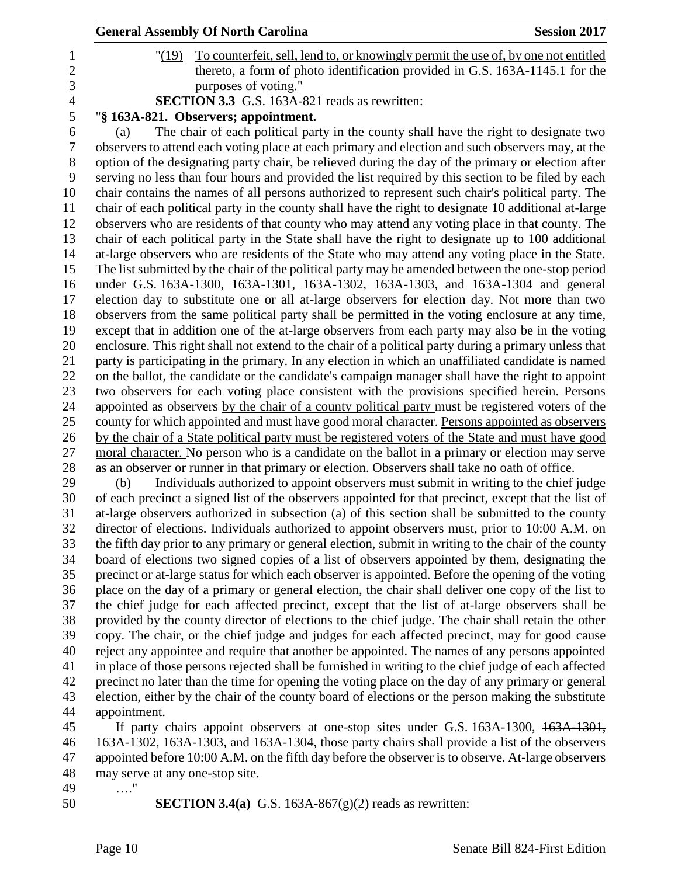|                |              | <b>General Assembly Of North Carolina</b>                                                                                                                                                               | <b>Session 2017</b> |
|----------------|--------------|---------------------------------------------------------------------------------------------------------------------------------------------------------------------------------------------------------|---------------------|
| $\mathbf 1$    | "(19)        | To counterfeit, sell, lend to, or knowingly permit the use of, by one not entitled                                                                                                                      |                     |
| $\overline{2}$ |              | thereto, a form of photo identification provided in G.S. 163A-1145.1 for the                                                                                                                            |                     |
| 3              |              | purposes of voting."                                                                                                                                                                                    |                     |
| $\overline{4}$ |              | SECTION 3.3 G.S. 163A-821 reads as rewritten:                                                                                                                                                           |                     |
| 5              |              | "§ 163A-821. Observers; appointment.                                                                                                                                                                    |                     |
| 6              | (a)          | The chair of each political party in the county shall have the right to designate two                                                                                                                   |                     |
| 7              |              | observers to attend each voting place at each primary and election and such observers may, at the                                                                                                       |                     |
| 8              |              | option of the designating party chair, be relieved during the day of the primary or election after                                                                                                      |                     |
| 9              |              | serving no less than four hours and provided the list required by this section to be filed by each                                                                                                      |                     |
| 10             |              | chair contains the names of all persons authorized to represent such chair's political party. The                                                                                                       |                     |
| 11             |              | chair of each political party in the county shall have the right to designate 10 additional at-large                                                                                                    |                     |
| 12<br>13       |              | observers who are residents of that county who may attend any voting place in that county. The                                                                                                          |                     |
| 14             |              | chair of each political party in the State shall have the right to designate up to 100 additional<br>at-large observers who are residents of the State who may attend any voting place in the State.    |                     |
| 15             |              | The list submitted by the chair of the political party may be amended between the one-stop period                                                                                                       |                     |
| 16             |              | under G.S. 163A-1300, 163A-1301, 163A-1302, 163A-1303, and 163A-1304 and general                                                                                                                        |                     |
| 17             |              | election day to substitute one or all at-large observers for election day. Not more than two                                                                                                            |                     |
| 18             |              | observers from the same political party shall be permitted in the voting enclosure at any time,                                                                                                         |                     |
| 19             |              | except that in addition one of the at-large observers from each party may also be in the voting                                                                                                         |                     |
| 20             |              | enclosure. This right shall not extend to the chair of a political party during a primary unless that                                                                                                   |                     |
| 21             |              | party is participating in the primary. In any election in which an unaffiliated candidate is named                                                                                                      |                     |
| 22             |              | on the ballot, the candidate or the candidate's campaign manager shall have the right to appoint                                                                                                        |                     |
| 23             |              | two observers for each voting place consistent with the provisions specified herein. Persons                                                                                                            |                     |
| 24             |              | appointed as observers by the chair of a county political party must be registered voters of the                                                                                                        |                     |
| 25             |              | county for which appointed and must have good moral character. Persons appointed as observers                                                                                                           |                     |
| 26             |              | by the chair of a State political party must be registered voters of the State and must have good                                                                                                       |                     |
| 27             |              | moral character. No person who is a candidate on the ballot in a primary or election may serve                                                                                                          |                     |
| 28             |              | as an observer or runner in that primary or election. Observers shall take no oath of office.                                                                                                           |                     |
| 29             | (b)          | Individuals authorized to appoint observers must submit in writing to the chief judge                                                                                                                   |                     |
| 30             |              | of each precinct a signed list of the observers appointed for that precinct, except that the list of                                                                                                    |                     |
| 31             |              | at-large observers authorized in subsection (a) of this section shall be submitted to the county                                                                                                        |                     |
| 32<br>33       |              | director of elections. Individuals authorized to appoint observers must, prior to 10:00 A.M. on<br>the fifth day prior to any primary or general election, submit in writing to the chair of the county |                     |
| 34             |              | board of elections two signed copies of a list of observers appointed by them, designating the                                                                                                          |                     |
| 35             |              | precinct or at-large status for which each observer is appointed. Before the opening of the voting                                                                                                      |                     |
| 36             |              | place on the day of a primary or general election, the chair shall deliver one copy of the list to                                                                                                      |                     |
| 37             |              | the chief judge for each affected precinct, except that the list of at-large observers shall be                                                                                                         |                     |
| 38             |              | provided by the county director of elections to the chief judge. The chair shall retain the other                                                                                                       |                     |
| 39             |              | copy. The chair, or the chief judge and judges for each affected precinct, may for good cause                                                                                                           |                     |
| 40             |              | reject any appointee and require that another be appointed. The names of any persons appointed                                                                                                          |                     |
| 41             |              | in place of those persons rejected shall be furnished in writing to the chief judge of each affected                                                                                                    |                     |
| 42             |              | precinct no later than the time for opening the voting place on the day of any primary or general                                                                                                       |                     |
| 43             |              | election, either by the chair of the county board of elections or the person making the substitute                                                                                                      |                     |
| 44             | appointment. |                                                                                                                                                                                                         |                     |

 If party chairs appoint observers at one-stop sites under G.S. 163A-1300, 163A-1301, 163A-1302, 163A-1303, and 163A-1304, those party chairs shall provide a list of the observers appointed before 10:00 A.M. on the fifth day before the observer is to observe. At-large observers may serve at any one-stop site. …."

- 
- 
- **SECTION 3.4(a)** G.S. 163A-867(g)(2) reads as rewritten: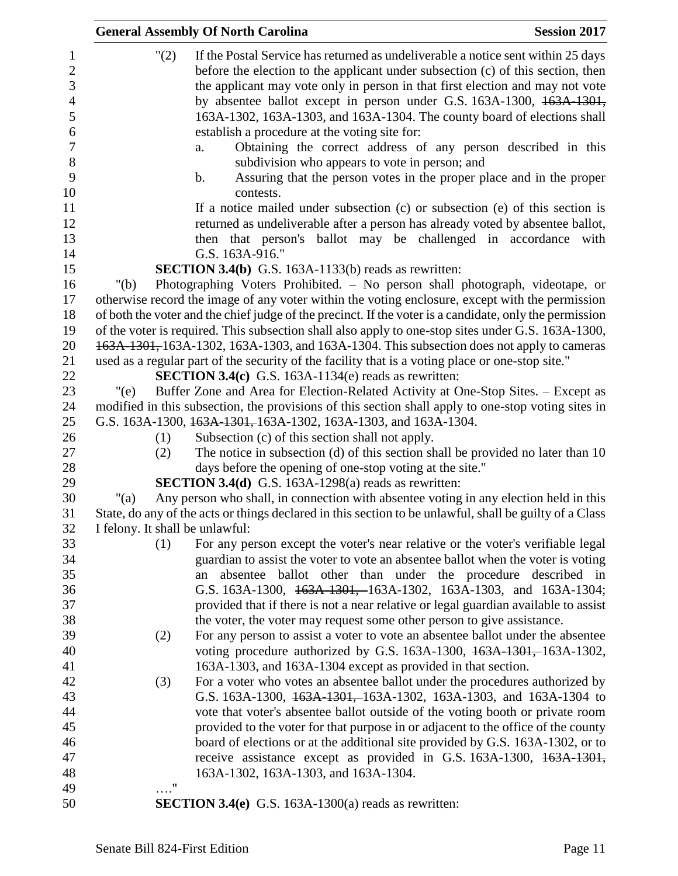|                                     | <b>General Assembly Of North Carolina</b>                                                                                                                                                                                                                    | <b>Session 2017</b> |
|-------------------------------------|--------------------------------------------------------------------------------------------------------------------------------------------------------------------------------------------------------------------------------------------------------------|---------------------|
| $\mathbf{1}$<br>$\overline{c}$<br>3 | "(2)<br>If the Postal Service has returned as undeliverable a notice sent within 25 days<br>before the election to the applicant under subsection (c) of this section, then<br>the applicant may vote only in person in that first election and may not vote |                     |
| $\overline{4}$<br>5<br>6            | by absentee ballot except in person under G.S. 163A-1300, 163A-1301,<br>163A-1302, 163A-1303, and 163A-1304. The county board of elections shall<br>establish a procedure at the voting site for:                                                            |                     |
| $\boldsymbol{7}$                    | Obtaining the correct address of any person described in this<br>a.                                                                                                                                                                                          |                     |
| $8\,$                               | subdivision who appears to vote in person; and                                                                                                                                                                                                               |                     |
| 9                                   | Assuring that the person votes in the proper place and in the proper<br>b.                                                                                                                                                                                   |                     |
| 10                                  | contests.                                                                                                                                                                                                                                                    |                     |
| 11                                  | If a notice mailed under subsection $(c)$ or subsection $(e)$ of this section is                                                                                                                                                                             |                     |
| 12                                  | returned as undeliverable after a person has already voted by absentee ballot,                                                                                                                                                                               |                     |
| 13<br>14                            | then that person's ballot may be challenged in accordance with<br>G.S. 163A-916."                                                                                                                                                                            |                     |
| 15                                  | SECTION 3.4(b) G.S. 163A-1133(b) reads as rewritten:                                                                                                                                                                                                         |                     |
| 16                                  | Photographing Voters Prohibited. - No person shall photograph, videotape, or<br>" $(b)$                                                                                                                                                                      |                     |
| 17                                  | otherwise record the image of any voter within the voting enclosure, except with the permission                                                                                                                                                              |                     |
| 18                                  | of both the voter and the chief judge of the precinct. If the voter is a candidate, only the permission                                                                                                                                                      |                     |
| 19                                  | of the voter is required. This subsection shall also apply to one-stop sites under G.S. 163A-1300,                                                                                                                                                           |                     |
| 20                                  | 163A-1301, 163A-1302, 163A-1303, and 163A-1304. This subsection does not apply to cameras                                                                                                                                                                    |                     |
| 21                                  | used as a regular part of the security of the facility that is a voting place or one-stop site."                                                                                                                                                             |                     |
| 22                                  | <b>SECTION 3.4(c)</b> G.S. 163A-1134(e) reads as rewritten:                                                                                                                                                                                                  |                     |
| 23                                  | Buffer Zone and Area for Election-Related Activity at One-Stop Sites. - Except as<br>"(e)                                                                                                                                                                    |                     |
| 24                                  | modified in this subsection, the provisions of this section shall apply to one-stop voting sites in                                                                                                                                                          |                     |
| 25                                  | G.S. 163A-1300, 163A-1301, 163A-1302, 163A-1303, and 163A-1304.                                                                                                                                                                                              |                     |
| 26<br>27                            | Subsection (c) of this section shall not apply.<br>(1)<br>The notice in subsection (d) of this section shall be provided no later than 10<br>(2)                                                                                                             |                     |
| 28                                  | days before the opening of one-stop voting at the site."                                                                                                                                                                                                     |                     |
| 29                                  | <b>SECTION 3.4(d)</b> G.S. 163A-1298(a) reads as rewritten:                                                                                                                                                                                                  |                     |
| 30                                  | Any person who shall, in connection with absentee voting in any election held in this<br>"(a)                                                                                                                                                                |                     |
| 31                                  | State, do any of the acts or things declared in this section to be unlawful, shall be guilty of a Class                                                                                                                                                      |                     |
| 32                                  | I felony. It shall be unlawful:                                                                                                                                                                                                                              |                     |
| 33                                  | (1)<br>For any person except the voter's near relative or the voter's verifiable legal                                                                                                                                                                       |                     |
| 34                                  | guardian to assist the voter to vote an absentee ballot when the voter is voting                                                                                                                                                                             |                     |
| 35                                  | absentee ballot other than under the procedure described in<br>an                                                                                                                                                                                            |                     |
| 36                                  | G.S. 163A-1300, 163A-1301, 163A-1302, 163A-1303, and 163A-1304;                                                                                                                                                                                              |                     |
| 37                                  | provided that if there is not a near relative or legal guardian available to assist                                                                                                                                                                          |                     |
| 38<br>39                            | the voter, the voter may request some other person to give assistance.                                                                                                                                                                                       |                     |
| 40                                  | For any person to assist a voter to vote an absentee ballot under the absentee<br>(2)<br>voting procedure authorized by G.S. 163A-1300, 163A-1301, 163A-1302,                                                                                                |                     |
| 41                                  | 163A-1303, and 163A-1304 except as provided in that section.                                                                                                                                                                                                 |                     |
| 42                                  | For a voter who votes an absentee ballot under the procedures authorized by<br>(3)                                                                                                                                                                           |                     |
| 43                                  | G.S. 163A-1300, 163A-1301, 163A-1302, 163A-1303, and 163A-1304 to                                                                                                                                                                                            |                     |
| 44                                  | vote that voter's absentee ballot outside of the voting booth or private room                                                                                                                                                                                |                     |
| 45                                  | provided to the voter for that purpose in or adjacent to the office of the county                                                                                                                                                                            |                     |
| 46                                  | board of elections or at the additional site provided by G.S. 163A-1302, or to                                                                                                                                                                               |                     |
| 47                                  | receive assistance except as provided in G.S. 163A-1300, 163A-1301,                                                                                                                                                                                          |                     |
| 48                                  | 163A-1302, 163A-1303, and 163A-1304.                                                                                                                                                                                                                         |                     |
| 49                                  | $\ldots$ "                                                                                                                                                                                                                                                   |                     |
| 50                                  | <b>SECTION 3.4(e)</b> G.S. 163A-1300(a) reads as rewritten:                                                                                                                                                                                                  |                     |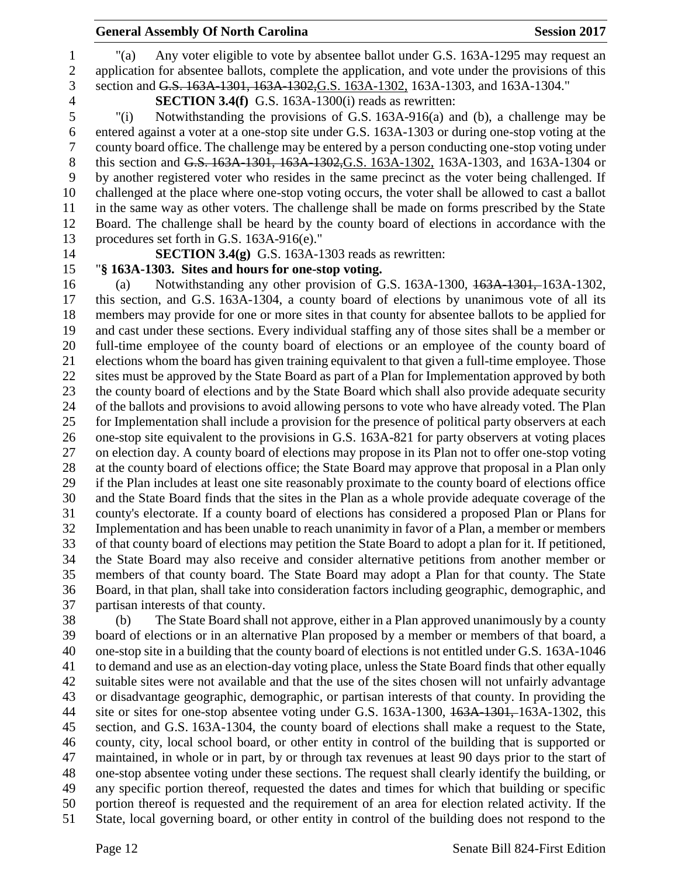#### **General Assembly Of North Carolina Session 2017**

application for absentee ballots, complete the application, and vote under the provisions of this

#### section and G.S. 163A-1301, 163A-1302,G.S. 163A-1302, 163A-1303, and 163A-1304." **SECTION 3.4(f)** G.S. 163A-1300(i) reads as rewritten:

 "(i) Notwithstanding the provisions of G.S. 163A-916(a) and (b), a challenge may be entered against a voter at a one-stop site under G.S. 163A-1303 or during one-stop voting at the county board office. The challenge may be entered by a person conducting one-stop voting under 8 this section and G.S. 163A-1301, 163A-1302, G.S. 163A-1302, 163A-1303, and 163A-1304 or by another registered voter who resides in the same precinct as the voter being challenged. If challenged at the place where one-stop voting occurs, the voter shall be allowed to cast a ballot in the same way as other voters. The challenge shall be made on forms prescribed by the State Board. The challenge shall be heard by the county board of elections in accordance with the procedures set forth in G.S. 163A-916(e)."

"(a) Any voter eligible to vote by absentee ballot under G.S. 163A-1295 may request an

**SECTION 3.4(g)** G.S. 163A-1303 reads as rewritten:

### "**§ 163A-1303. Sites and hours for one-stop voting.**

 (a) Notwithstanding any other provision of G.S. 163A-1300, 163A-1301, 163A-1302, this section, and G.S. 163A-1304, a county board of elections by unanimous vote of all its members may provide for one or more sites in that county for absentee ballots to be applied for and cast under these sections. Every individual staffing any of those sites shall be a member or full-time employee of the county board of elections or an employee of the county board of elections whom the board has given training equivalent to that given a full-time employee. Those sites must be approved by the State Board as part of a Plan for Implementation approved by both the county board of elections and by the State Board which shall also provide adequate security of the ballots and provisions to avoid allowing persons to vote who have already voted. The Plan for Implementation shall include a provision for the presence of political party observers at each one-stop site equivalent to the provisions in G.S. 163A-821 for party observers at voting places on election day. A county board of elections may propose in its Plan not to offer one-stop voting at the county board of elections office; the State Board may approve that proposal in a Plan only if the Plan includes at least one site reasonably proximate to the county board of elections office and the State Board finds that the sites in the Plan as a whole provide adequate coverage of the county's electorate. If a county board of elections has considered a proposed Plan or Plans for Implementation and has been unable to reach unanimity in favor of a Plan, a member or members of that county board of elections may petition the State Board to adopt a plan for it. If petitioned, the State Board may also receive and consider alternative petitions from another member or members of that county board. The State Board may adopt a Plan for that county. The State Board, in that plan, shall take into consideration factors including geographic, demographic, and partisan interests of that county.

 (b) The State Board shall not approve, either in a Plan approved unanimously by a county board of elections or in an alternative Plan proposed by a member or members of that board, a one-stop site in a building that the county board of elections is not entitled under G.S. 163A-1046 to demand and use as an election-day voting place, unless the State Board finds that other equally suitable sites were not available and that the use of the sites chosen will not unfairly advantage or disadvantage geographic, demographic, or partisan interests of that county. In providing the 44 site or sites for one-stop absentee voting under G.S. 163A-1300, 163A-1301, 163A-1302, this section, and G.S. 163A-1304, the county board of elections shall make a request to the State, county, city, local school board, or other entity in control of the building that is supported or maintained, in whole or in part, by or through tax revenues at least 90 days prior to the start of one-stop absentee voting under these sections. The request shall clearly identify the building, or any specific portion thereof, requested the dates and times for which that building or specific portion thereof is requested and the requirement of an area for election related activity. If the State, local governing board, or other entity in control of the building does not respond to the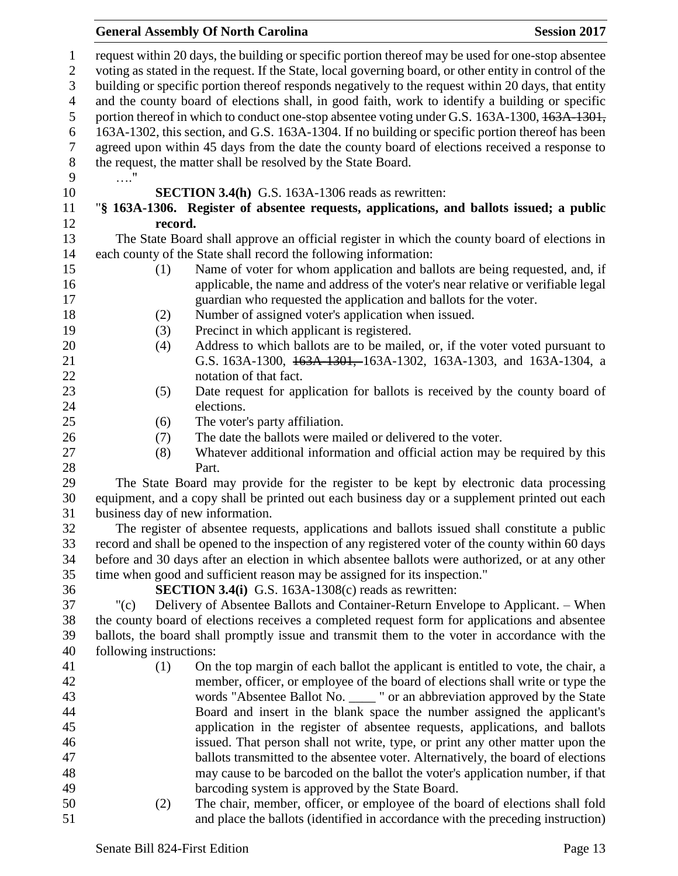# **General Assembly Of North Carolina Session 2017**

| $\mathbf{1}$<br>$\sqrt{2}$ |                                                                                                     | request within 20 days, the building or specific portion thereof may be used for one-stop absentee<br>voting as stated in the request. If the State, local governing board, or other entity in control of the |  |  |
|----------------------------|-----------------------------------------------------------------------------------------------------|---------------------------------------------------------------------------------------------------------------------------------------------------------------------------------------------------------------|--|--|
| 3                          | building or specific portion thereof responds negatively to the request within 20 days, that entity |                                                                                                                                                                                                               |  |  |
| $\overline{4}$             | and the county board of elections shall, in good faith, work to identify a building or specific     |                                                                                                                                                                                                               |  |  |
| 5                          |                                                                                                     | portion thereof in which to conduct one-stop absentee voting under G.S. 163A-1300, 163A-1301,                                                                                                                 |  |  |
| 6                          |                                                                                                     | 163A-1302, this section, and G.S. 163A-1304. If no building or specific portion thereof has been                                                                                                              |  |  |
| $\tau$                     |                                                                                                     | agreed upon within 45 days from the date the county board of elections received a response to                                                                                                                 |  |  |
| $8\,$                      |                                                                                                     | the request, the matter shall be resolved by the State Board.                                                                                                                                                 |  |  |
| 9                          | . "                                                                                                 |                                                                                                                                                                                                               |  |  |
| 10                         |                                                                                                     | <b>SECTION 3.4(h)</b> G.S. 163A-1306 reads as rewritten:                                                                                                                                                      |  |  |
| 11                         |                                                                                                     | "§ 163A-1306. Register of absentee requests, applications, and ballots issued; a public                                                                                                                       |  |  |
| 12                         |                                                                                                     | record.                                                                                                                                                                                                       |  |  |
| 13                         |                                                                                                     | The State Board shall approve an official register in which the county board of elections in                                                                                                                  |  |  |
| 14                         |                                                                                                     | each county of the State shall record the following information:                                                                                                                                              |  |  |
| 15                         | (1)                                                                                                 | Name of voter for whom application and ballots are being requested, and, if                                                                                                                                   |  |  |
| 16                         |                                                                                                     | applicable, the name and address of the voter's near relative or verifiable legal                                                                                                                             |  |  |
| 17                         |                                                                                                     | guardian who requested the application and ballots for the voter.                                                                                                                                             |  |  |
| 18                         | (2)                                                                                                 | Number of assigned voter's application when issued.                                                                                                                                                           |  |  |
| 19                         | (3)                                                                                                 | Precinct in which applicant is registered.                                                                                                                                                                    |  |  |
| 20                         | (4)                                                                                                 | Address to which ballots are to be mailed, or, if the voter voted pursuant to                                                                                                                                 |  |  |
| 21                         |                                                                                                     | G.S. 163A-1300, 163A-1301, 163A-1302, 163A-1303, and 163A-1304, a                                                                                                                                             |  |  |
| 22                         |                                                                                                     | notation of that fact.                                                                                                                                                                                        |  |  |
| 23                         | (5)                                                                                                 | Date request for application for ballots is received by the county board of                                                                                                                                   |  |  |
| 24                         |                                                                                                     | elections.                                                                                                                                                                                                    |  |  |
| 25                         | (6)                                                                                                 | The voter's party affiliation.                                                                                                                                                                                |  |  |
| 26                         | (7)                                                                                                 | The date the ballots were mailed or delivered to the voter.                                                                                                                                                   |  |  |
| 27                         | (8)                                                                                                 | Whatever additional information and official action may be required by this                                                                                                                                   |  |  |
| 28                         |                                                                                                     | Part.                                                                                                                                                                                                         |  |  |
| 29                         |                                                                                                     | The State Board may provide for the register to be kept by electronic data processing                                                                                                                         |  |  |
| 30                         |                                                                                                     | equipment, and a copy shall be printed out each business day or a supplement printed out each                                                                                                                 |  |  |
| 31                         |                                                                                                     | business day of new information.                                                                                                                                                                              |  |  |
| 32                         |                                                                                                     | The register of absentee requests, applications and ballots issued shall constitute a public                                                                                                                  |  |  |
| 33                         |                                                                                                     | record and shall be opened to the inspection of any registered voter of the county within 60 days                                                                                                             |  |  |
| 34                         |                                                                                                     | before and 30 days after an election in which absentee ballots were authorized, or at any other                                                                                                               |  |  |
| 35                         |                                                                                                     | time when good and sufficient reason may be assigned for its inspection."                                                                                                                                     |  |  |
| 36                         |                                                                                                     | <b>SECTION 3.4(i)</b> G.S. 163A-1308(c) reads as rewritten:                                                                                                                                                   |  |  |
| 37                         | " $(c)$                                                                                             | Delivery of Absentee Ballots and Container-Return Envelope to Applicant. – When                                                                                                                               |  |  |
| 38                         |                                                                                                     | the county board of elections receives a completed request form for applications and absentee                                                                                                                 |  |  |
| 39                         |                                                                                                     | ballots, the board shall promptly issue and transmit them to the voter in accordance with the                                                                                                                 |  |  |
| 40                         | following instructions:                                                                             |                                                                                                                                                                                                               |  |  |
| 41                         | (1)                                                                                                 | On the top margin of each ballot the applicant is entitled to vote, the chair, a                                                                                                                              |  |  |
| 42                         |                                                                                                     | member, officer, or employee of the board of elections shall write or type the                                                                                                                                |  |  |
| 43                         |                                                                                                     | words "Absentee Ballot No. ____ " or an abbreviation approved by the State                                                                                                                                    |  |  |
| 44                         |                                                                                                     | Board and insert in the blank space the number assigned the applicant's                                                                                                                                       |  |  |
| 45                         |                                                                                                     | application in the register of absentee requests, applications, and ballots                                                                                                                                   |  |  |
| 46                         |                                                                                                     | issued. That person shall not write, type, or print any other matter upon the                                                                                                                                 |  |  |
| 47                         |                                                                                                     | ballots transmitted to the absentee voter. Alternatively, the board of elections                                                                                                                              |  |  |
| 48                         |                                                                                                     | may cause to be barcoded on the ballot the voter's application number, if that                                                                                                                                |  |  |
| 49                         |                                                                                                     | barcoding system is approved by the State Board.                                                                                                                                                              |  |  |
| 50                         | (2)                                                                                                 | The chair, member, officer, or employee of the board of elections shall fold                                                                                                                                  |  |  |
| 51                         |                                                                                                     | and place the ballots (identified in accordance with the preceding instruction)                                                                                                                               |  |  |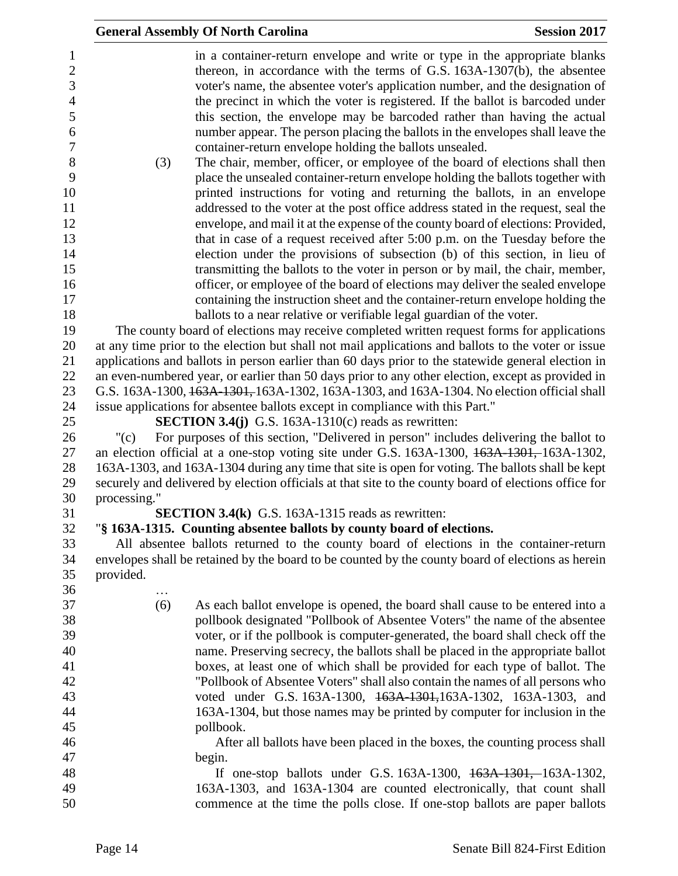|                          |              | <b>General Assembly Of North Carolina</b>                                                                                                                                                                                                    | <b>Session 2017</b> |
|--------------------------|--------------|----------------------------------------------------------------------------------------------------------------------------------------------------------------------------------------------------------------------------------------------|---------------------|
| 1<br>$\overline{2}$<br>3 |              | in a container-return envelope and write or type in the appropriate blanks<br>thereon, in accordance with the terms of G.S. 163A-1307(b), the absentee<br>voter's name, the absentee voter's application number, and the designation of      |                     |
| $\overline{4}$<br>5<br>6 |              | the precinct in which the voter is registered. If the ballot is barcoded under<br>this section, the envelope may be barcoded rather than having the actual<br>number appear. The person placing the ballots in the envelopes shall leave the |                     |
| $\tau$                   |              | container-return envelope holding the ballots unsealed.                                                                                                                                                                                      |                     |
| $8\,$                    | (3)          | The chair, member, officer, or employee of the board of elections shall then                                                                                                                                                                 |                     |
| 9                        |              | place the unsealed container-return envelope holding the ballots together with                                                                                                                                                               |                     |
| 10                       |              | printed instructions for voting and returning the ballots, in an envelope                                                                                                                                                                    |                     |
| 11                       |              | addressed to the voter at the post office address stated in the request, seal the                                                                                                                                                            |                     |
| 12                       |              | envelope, and mail it at the expense of the county board of elections: Provided,                                                                                                                                                             |                     |
| 13                       |              | that in case of a request received after 5:00 p.m. on the Tuesday before the                                                                                                                                                                 |                     |
| 14<br>15                 |              | election under the provisions of subsection (b) of this section, in lieu of<br>transmitting the ballots to the voter in person or by mail, the chair, member,                                                                                |                     |
| 16                       |              | officer, or employee of the board of elections may deliver the sealed envelope                                                                                                                                                               |                     |
| 17                       |              | containing the instruction sheet and the container-return envelope holding the                                                                                                                                                               |                     |
| 18                       |              | ballots to a near relative or verifiable legal guardian of the voter.                                                                                                                                                                        |                     |
| 19                       |              | The county board of elections may receive completed written request forms for applications                                                                                                                                                   |                     |
| 20                       |              | at any time prior to the election but shall not mail applications and ballots to the voter or issue                                                                                                                                          |                     |
| 21                       |              | applications and ballots in person earlier than 60 days prior to the statewide general election in                                                                                                                                           |                     |
| 22                       |              | an even-numbered year, or earlier than 50 days prior to any other election, except as provided in                                                                                                                                            |                     |
| 23                       |              | G.S. 163A-1300, 163A-1301, 163A-1302, 163A-1303, and 163A-1304. No election official shall                                                                                                                                                   |                     |
| 24                       |              | issue applications for absentee ballots except in compliance with this Part."                                                                                                                                                                |                     |
| 25                       |              | <b>SECTION 3.4(j)</b> G.S. 163A-1310(c) reads as rewritten:                                                                                                                                                                                  |                     |
| 26                       | "(c)         | For purposes of this section, "Delivered in person" includes delivering the ballot to                                                                                                                                                        |                     |
| 27                       |              | an election official at a one-stop voting site under G.S. 163A-1300, 163A-1301, 163A-1302,                                                                                                                                                   |                     |
| 28                       |              | 163A-1303, and 163A-1304 during any time that site is open for voting. The ballots shall be kept                                                                                                                                             |                     |
| 29                       |              | securely and delivered by election officials at that site to the county board of elections office for                                                                                                                                        |                     |
| 30                       | processing." |                                                                                                                                                                                                                                              |                     |
| 31                       |              | <b>SECTION 3.4(k)</b> G.S. 163A-1315 reads as rewritten:                                                                                                                                                                                     |                     |
| 32                       |              | "§ 163A-1315. Counting absentee ballots by county board of elections.                                                                                                                                                                        |                     |
| 33                       |              | All absentee ballots returned to the county board of elections in the container-return                                                                                                                                                       |                     |
| 34<br>35<br>36           | provided.    | envelopes shall be retained by the board to be counted by the county board of elections as herein                                                                                                                                            |                     |
| 37                       | .<br>(6)     | As each ballot envelope is opened, the board shall cause to be entered into a                                                                                                                                                                |                     |
| 38                       |              | pollbook designated "Pollbook of Absentee Voters" the name of the absentee                                                                                                                                                                   |                     |
| 39                       |              | voter, or if the pollbook is computer-generated, the board shall check off the                                                                                                                                                               |                     |
| 40                       |              | name. Preserving secrecy, the ballots shall be placed in the appropriate ballot                                                                                                                                                              |                     |
| 41                       |              | boxes, at least one of which shall be provided for each type of ballot. The                                                                                                                                                                  |                     |
| 42                       |              | "Pollbook of Absentee Voters" shall also contain the names of all persons who                                                                                                                                                                |                     |
| 43                       |              | voted under G.S. 163A-1300, 463A-1301, 163A-1302, 163A-1303, and                                                                                                                                                                             |                     |
| 44                       |              | 163A-1304, but those names may be printed by computer for inclusion in the                                                                                                                                                                   |                     |
| 45                       |              | pollbook.                                                                                                                                                                                                                                    |                     |
| 46                       |              | After all ballots have been placed in the boxes, the counting process shall                                                                                                                                                                  |                     |
| 47                       |              | begin.                                                                                                                                                                                                                                       |                     |
| 48                       |              | If one-stop ballots under G.S. 163A-1300, 163A-1301, 163A-1302,                                                                                                                                                                              |                     |
| 49<br>50                 |              | 163A-1303, and 163A-1304 are counted electronically, that count shall<br>commence at the time the polls close. If one-stop ballots are paper ballots                                                                                         |                     |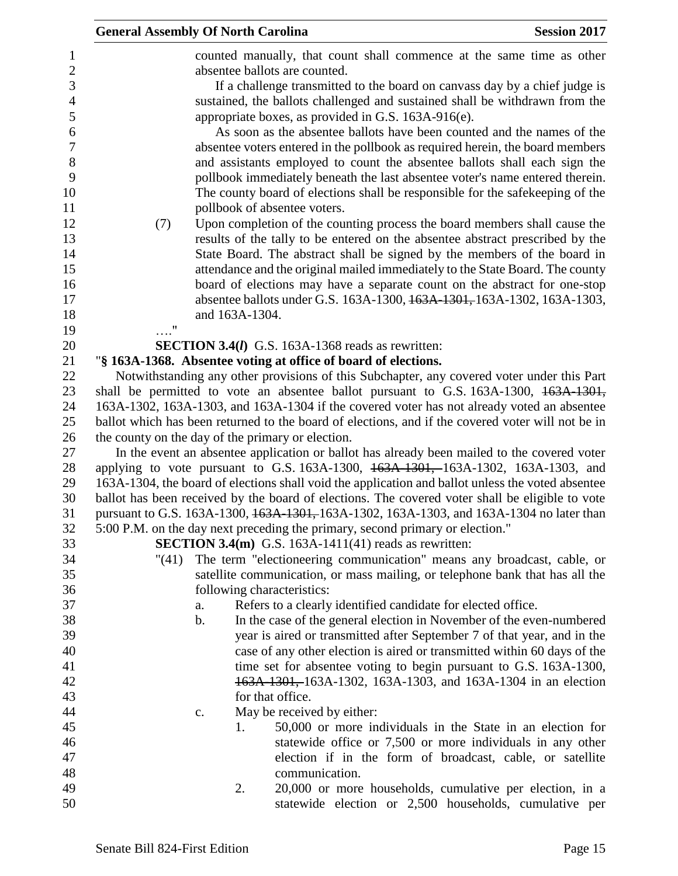| <b>General Assembly Of North Carolina</b> |               |                                                                              |                                                                                                                                                                                                                                                                                                                                                                                                                                                                                                                                                                                                                                                                                                                                                                                                                                                                                                                                                                                                                                                                                                                                                                                                                                                        | <b>Session 2017</b> |  |  |
|-------------------------------------------|---------------|------------------------------------------------------------------------------|--------------------------------------------------------------------------------------------------------------------------------------------------------------------------------------------------------------------------------------------------------------------------------------------------------------------------------------------------------------------------------------------------------------------------------------------------------------------------------------------------------------------------------------------------------------------------------------------------------------------------------------------------------------------------------------------------------------------------------------------------------------------------------------------------------------------------------------------------------------------------------------------------------------------------------------------------------------------------------------------------------------------------------------------------------------------------------------------------------------------------------------------------------------------------------------------------------------------------------------------------------|---------------------|--|--|
| (7)<br>$\ldots$ "                         |               | and 163A-1304.                                                               | counted manually, that count shall commence at the same time as other<br>absentee ballots are counted.<br>If a challenge transmitted to the board on canvass day by a chief judge is<br>sustained, the ballots challenged and sustained shall be withdrawn from the<br>appropriate boxes, as provided in G.S. 163A-916(e).<br>As soon as the absentee ballots have been counted and the names of the<br>absentee voters entered in the pollbook as required herein, the board members<br>and assistants employed to count the absentee ballots shall each sign the<br>pollbook immediately beneath the last absentee voter's name entered therein.<br>The county board of elections shall be responsible for the safekeeping of the<br>pollbook of absentee voters.<br>Upon completion of the counting process the board members shall cause the<br>results of the tally to be entered on the absentee abstract prescribed by the<br>State Board. The abstract shall be signed by the members of the board in<br>attendance and the original mailed immediately to the State Board. The county<br>board of elections may have a separate count on the abstract for one-stop<br>absentee ballots under G.S. 163A-1300, 163A-1301, 163A-1302, 163A-1303, |                     |  |  |
|                                           |               |                                                                              | <b>SECTION 3.4(I)</b> G.S. 163A-1368 reads as rewritten:                                                                                                                                                                                                                                                                                                                                                                                                                                                                                                                                                                                                                                                                                                                                                                                                                                                                                                                                                                                                                                                                                                                                                                                               |                     |  |  |
|                                           |               |                                                                              | "§ 163A-1368. Absentee voting at office of board of elections.                                                                                                                                                                                                                                                                                                                                                                                                                                                                                                                                                                                                                                                                                                                                                                                                                                                                                                                                                                                                                                                                                                                                                                                         |                     |  |  |
|                                           |               |                                                                              | Notwithstanding any other provisions of this Subchapter, any covered voter under this Part                                                                                                                                                                                                                                                                                                                                                                                                                                                                                                                                                                                                                                                                                                                                                                                                                                                                                                                                                                                                                                                                                                                                                             |                     |  |  |
|                                           |               |                                                                              | shall be permitted to vote an absentee ballot pursuant to G.S. 163A-1300, 163A-1301,                                                                                                                                                                                                                                                                                                                                                                                                                                                                                                                                                                                                                                                                                                                                                                                                                                                                                                                                                                                                                                                                                                                                                                   |                     |  |  |
|                                           |               |                                                                              | 163A-1302, 163A-1303, and 163A-1304 if the covered voter has not already voted an absentee                                                                                                                                                                                                                                                                                                                                                                                                                                                                                                                                                                                                                                                                                                                                                                                                                                                                                                                                                                                                                                                                                                                                                             |                     |  |  |
|                                           |               |                                                                              | ballot which has been returned to the board of elections, and if the covered voter will not be in                                                                                                                                                                                                                                                                                                                                                                                                                                                                                                                                                                                                                                                                                                                                                                                                                                                                                                                                                                                                                                                                                                                                                      |                     |  |  |
|                                           |               |                                                                              | the county on the day of the primary or election.                                                                                                                                                                                                                                                                                                                                                                                                                                                                                                                                                                                                                                                                                                                                                                                                                                                                                                                                                                                                                                                                                                                                                                                                      |                     |  |  |
|                                           |               |                                                                              | In the event an absentee application or ballot has already been mailed to the covered voter                                                                                                                                                                                                                                                                                                                                                                                                                                                                                                                                                                                                                                                                                                                                                                                                                                                                                                                                                                                                                                                                                                                                                            |                     |  |  |
|                                           |               |                                                                              | applying to vote pursuant to G.S. 163A-1300, 163A-1301, 163A-1302, 163A-1303, and                                                                                                                                                                                                                                                                                                                                                                                                                                                                                                                                                                                                                                                                                                                                                                                                                                                                                                                                                                                                                                                                                                                                                                      |                     |  |  |
|                                           |               |                                                                              | 163A-1304, the board of elections shall void the application and ballot unless the voted absentee                                                                                                                                                                                                                                                                                                                                                                                                                                                                                                                                                                                                                                                                                                                                                                                                                                                                                                                                                                                                                                                                                                                                                      |                     |  |  |
|                                           |               |                                                                              | ballot has been received by the board of elections. The covered voter shall be eligible to vote<br>pursuant to G.S. 163A-1300, 163A-1301, 163A-1302, 163A-1303, and 163A-1304 no later than                                                                                                                                                                                                                                                                                                                                                                                                                                                                                                                                                                                                                                                                                                                                                                                                                                                                                                                                                                                                                                                            |                     |  |  |
|                                           |               |                                                                              | 5:00 P.M. on the day next preceding the primary, second primary or election."                                                                                                                                                                                                                                                                                                                                                                                                                                                                                                                                                                                                                                                                                                                                                                                                                                                                                                                                                                                                                                                                                                                                                                          |                     |  |  |
|                                           |               |                                                                              | <b>SECTION 3.4(m)</b> G.S. 163A-1411(41) reads as rewritten:                                                                                                                                                                                                                                                                                                                                                                                                                                                                                                                                                                                                                                                                                                                                                                                                                                                                                                                                                                                                                                                                                                                                                                                           |                     |  |  |
| "(41)                                     |               |                                                                              | The term "electioneering communication" means any broadcast, cable, or                                                                                                                                                                                                                                                                                                                                                                                                                                                                                                                                                                                                                                                                                                                                                                                                                                                                                                                                                                                                                                                                                                                                                                                 |                     |  |  |
|                                           |               | satellite communication, or mass mailing, or telephone bank that has all the |                                                                                                                                                                                                                                                                                                                                                                                                                                                                                                                                                                                                                                                                                                                                                                                                                                                                                                                                                                                                                                                                                                                                                                                                                                                        |                     |  |  |
|                                           |               |                                                                              | following characteristics:                                                                                                                                                                                                                                                                                                                                                                                                                                                                                                                                                                                                                                                                                                                                                                                                                                                                                                                                                                                                                                                                                                                                                                                                                             |                     |  |  |
|                                           | a.            |                                                                              | Refers to a clearly identified candidate for elected office.                                                                                                                                                                                                                                                                                                                                                                                                                                                                                                                                                                                                                                                                                                                                                                                                                                                                                                                                                                                                                                                                                                                                                                                           |                     |  |  |
|                                           | $\mathbf b$ . |                                                                              | In the case of the general election in November of the even-numbered                                                                                                                                                                                                                                                                                                                                                                                                                                                                                                                                                                                                                                                                                                                                                                                                                                                                                                                                                                                                                                                                                                                                                                                   |                     |  |  |
|                                           |               |                                                                              | year is aired or transmitted after September 7 of that year, and in the                                                                                                                                                                                                                                                                                                                                                                                                                                                                                                                                                                                                                                                                                                                                                                                                                                                                                                                                                                                                                                                                                                                                                                                |                     |  |  |
|                                           |               |                                                                              | case of any other election is aired or transmitted within 60 days of the                                                                                                                                                                                                                                                                                                                                                                                                                                                                                                                                                                                                                                                                                                                                                                                                                                                                                                                                                                                                                                                                                                                                                                               |                     |  |  |
|                                           |               |                                                                              | time set for absentee voting to begin pursuant to G.S. 163A-1300,                                                                                                                                                                                                                                                                                                                                                                                                                                                                                                                                                                                                                                                                                                                                                                                                                                                                                                                                                                                                                                                                                                                                                                                      |                     |  |  |
|                                           |               |                                                                              | 163A-1301, 163A-1302, 163A-1303, and 163A-1304 in an election                                                                                                                                                                                                                                                                                                                                                                                                                                                                                                                                                                                                                                                                                                                                                                                                                                                                                                                                                                                                                                                                                                                                                                                          |                     |  |  |
|                                           |               |                                                                              | for that office.                                                                                                                                                                                                                                                                                                                                                                                                                                                                                                                                                                                                                                                                                                                                                                                                                                                                                                                                                                                                                                                                                                                                                                                                                                       |                     |  |  |
|                                           | c.            | 1.                                                                           | May be received by either:<br>50,000 or more individuals in the State in an election for                                                                                                                                                                                                                                                                                                                                                                                                                                                                                                                                                                                                                                                                                                                                                                                                                                                                                                                                                                                                                                                                                                                                                               |                     |  |  |
|                                           |               |                                                                              | statewide office or 7,500 or more individuals in any other                                                                                                                                                                                                                                                                                                                                                                                                                                                                                                                                                                                                                                                                                                                                                                                                                                                                                                                                                                                                                                                                                                                                                                                             |                     |  |  |
|                                           |               |                                                                              | election if in the form of broadcast, cable, or satellite                                                                                                                                                                                                                                                                                                                                                                                                                                                                                                                                                                                                                                                                                                                                                                                                                                                                                                                                                                                                                                                                                                                                                                                              |                     |  |  |
|                                           |               |                                                                              | communication.                                                                                                                                                                                                                                                                                                                                                                                                                                                                                                                                                                                                                                                                                                                                                                                                                                                                                                                                                                                                                                                                                                                                                                                                                                         |                     |  |  |
|                                           |               | 2.                                                                           | 20,000 or more households, cumulative per election, in a                                                                                                                                                                                                                                                                                                                                                                                                                                                                                                                                                                                                                                                                                                                                                                                                                                                                                                                                                                                                                                                                                                                                                                                               |                     |  |  |
|                                           |               |                                                                              | statewide election or 2,500 households, cumulative per                                                                                                                                                                                                                                                                                                                                                                                                                                                                                                                                                                                                                                                                                                                                                                                                                                                                                                                                                                                                                                                                                                                                                                                                 |                     |  |  |